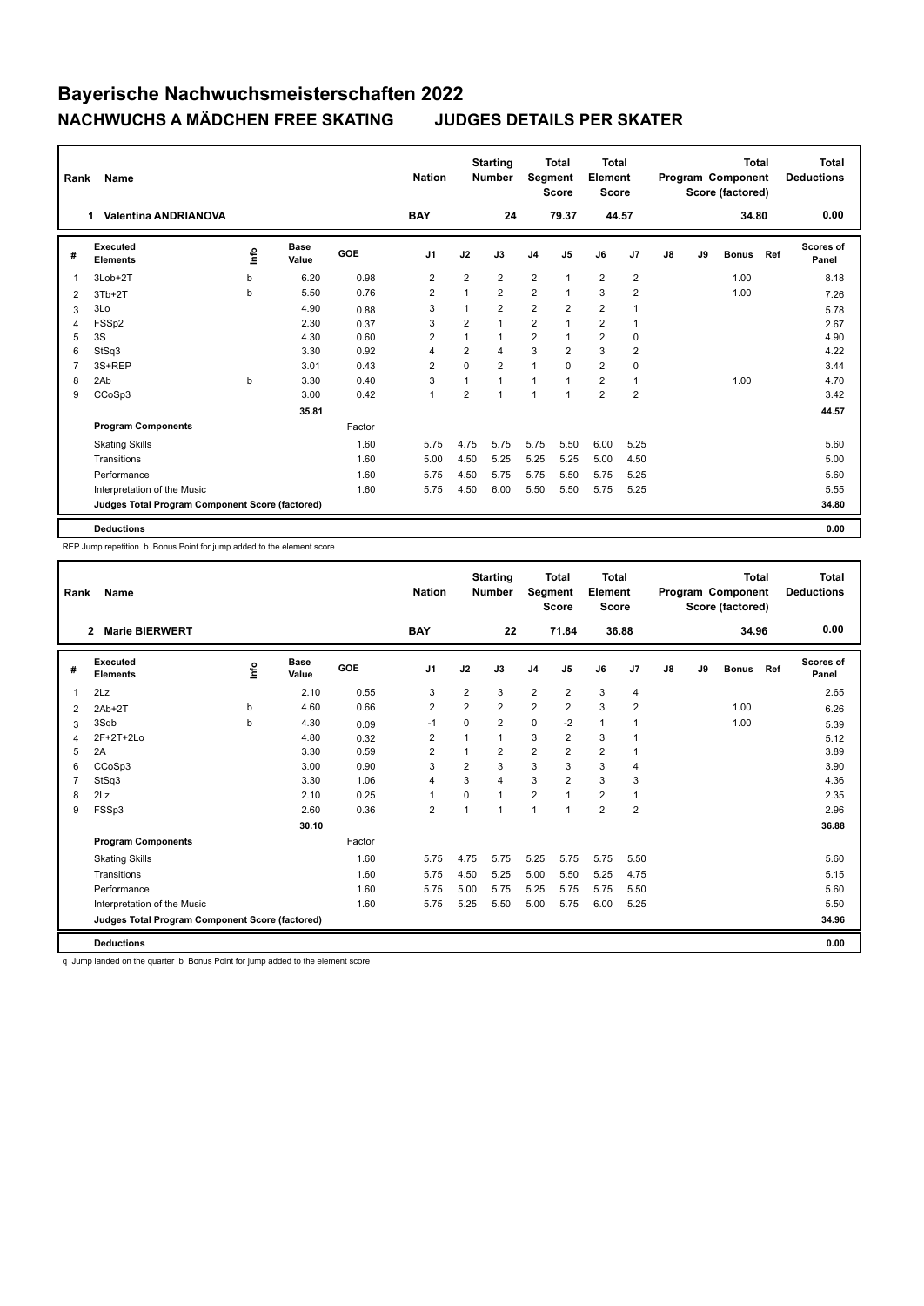| Rank           | <b>Name</b>                                     |      |               |            | <b>Nation</b>  |                | <b>Starting</b><br><b>Number</b> | Segment        | <b>Total</b><br><b>Score</b> | <b>Total</b><br>Element<br><b>Score</b> |                |    |    | <b>Total</b><br>Program Component<br>Score (factored) |     | <b>Total</b><br><b>Deductions</b> |
|----------------|-------------------------------------------------|------|---------------|------------|----------------|----------------|----------------------------------|----------------|------------------------------|-----------------------------------------|----------------|----|----|-------------------------------------------------------|-----|-----------------------------------|
|                | <b>Valentina ANDRIANOVA</b><br>1                |      |               |            | <b>BAY</b>     |                | 24                               |                | 79.37                        | 44.57                                   |                |    |    | 34.80                                                 |     | 0.00                              |
| #              | Executed<br><b>Elements</b>                     | ١nfo | Base<br>Value | <b>GOE</b> | J <sub>1</sub> | J2             | J3                               | J <sub>4</sub> | J <sub>5</sub>               | J6                                      | J <sub>7</sub> | J8 | J9 | <b>Bonus</b>                                          | Ref | Scores of<br>Panel                |
| $\overline{1}$ | 3Lob+2T                                         | b    | 6.20          | 0.98       | 2              | $\overline{2}$ | $\overline{2}$                   | $\overline{2}$ | $\mathbf{1}$                 | $\overline{2}$                          | $\overline{2}$ |    |    | 1.00                                                  |     | 8.18                              |
| 2              | $3Tb+2T$                                        | b    | 5.50          | 0.76       | $\overline{2}$ | 1              | $\overline{2}$                   | $\overline{2}$ | $\mathbf{1}$                 | 3                                       | $\overline{2}$ |    |    | 1.00                                                  |     | 7.26                              |
| 3              | 3Lo                                             |      | 4.90          | 0.88       | 3              | 1              | $\overline{2}$                   | $\overline{2}$ | $\overline{2}$               | $\overline{2}$                          |                |    |    |                                                       |     | 5.78                              |
| 4              | FSS <sub>p2</sub>                               |      | 2.30          | 0.37       | 3              | $\overline{2}$ | 1                                | $\overline{2}$ | 1                            | $\overline{2}$                          | -1             |    |    |                                                       |     | 2.67                              |
| 5              | 3S                                              |      | 4.30          | 0.60       | $\overline{2}$ | 1              | 1                                | $\overline{2}$ | $\mathbf{1}$                 | 2                                       | 0              |    |    |                                                       |     | 4.90                              |
| 6              | StSq3                                           |      | 3.30          | 0.92       | $\overline{4}$ | $\overline{2}$ | 4                                | 3              | $\overline{2}$               | 3                                       | $\overline{2}$ |    |    |                                                       |     | 4.22                              |
| $\overline{7}$ | 3S+REP                                          |      | 3.01          | 0.43       | $\overline{2}$ | $\Omega$       | $\overline{2}$                   | $\overline{1}$ | $\Omega$                     | $\overline{2}$                          | $\mathbf 0$    |    |    |                                                       |     | 3.44                              |
| 8              | 2Ab                                             | b    | 3.30          | 0.40       | 3              | 1              | $\overline{1}$                   | $\overline{1}$ | $\mathbf{1}$                 | $\overline{2}$                          | $\overline{1}$ |    |    | 1.00                                                  |     | 4.70                              |
| 9              | CCoSp3                                          |      | 3.00          | 0.42       | $\mathbf{1}$   | $\overline{2}$ | 1                                | $\overline{1}$ | $\mathbf{1}$                 | $\overline{2}$                          | $\overline{2}$ |    |    |                                                       |     | 3.42                              |
|                |                                                 |      | 35.81         |            |                |                |                                  |                |                              |                                         |                |    |    |                                                       |     | 44.57                             |
|                | <b>Program Components</b>                       |      |               | Factor     |                |                |                                  |                |                              |                                         |                |    |    |                                                       |     |                                   |
|                | <b>Skating Skills</b>                           |      |               | 1.60       | 5.75           | 4.75           | 5.75                             | 5.75           | 5.50                         | 6.00                                    | 5.25           |    |    |                                                       |     | 5.60                              |
|                | Transitions                                     |      |               | 1.60       | 5.00           | 4.50           | 5.25                             | 5.25           | 5.25                         | 5.00                                    | 4.50           |    |    |                                                       |     | 5.00                              |
|                | Performance                                     |      |               | 1.60       | 5.75           | 4.50           | 5.75                             | 5.75           | 5.50                         | 5.75                                    | 5.25           |    |    |                                                       |     | 5.60                              |
|                | Interpretation of the Music                     |      |               | 1.60       | 5.75           | 4.50           | 6.00                             | 5.50           | 5.50                         | 5.75                                    | 5.25           |    |    |                                                       |     | 5.55                              |
|                | Judges Total Program Component Score (factored) |      |               |            |                |                |                                  |                |                              |                                         |                |    |    |                                                       |     | 34.80                             |
|                | <b>Deductions</b>                               |      |               |            |                |                |                                  |                |                              |                                         |                |    |    |                                                       |     | 0.00                              |

REP Jump repetition b Bonus Point for jump added to the element score

| Rank           | <b>Name</b>                                     |      |                      |        | <b>Nation</b>  |                | <b>Starting</b><br><b>Number</b> | Segment        | <b>Total</b><br><b>Score</b> | <b>Total</b><br>Element<br><b>Score</b> |                |    |    | Total<br>Program Component<br>Score (factored) |     | <b>Total</b><br><b>Deductions</b> |
|----------------|-------------------------------------------------|------|----------------------|--------|----------------|----------------|----------------------------------|----------------|------------------------------|-----------------------------------------|----------------|----|----|------------------------------------------------|-----|-----------------------------------|
|                | <b>Marie BIERWERT</b><br>2                      |      |                      |        | <b>BAY</b>     |                | 22                               |                | 71.84                        | 36.88                                   |                |    |    | 34.96                                          |     | 0.00                              |
| #              | Executed<br><b>Elements</b>                     | lnfo | <b>Base</b><br>Value | GOE    | J <sub>1</sub> | J2             | J3                               | J <sub>4</sub> | J5                           | J6                                      | J <sub>7</sub> | J8 | J9 | <b>Bonus</b>                                   | Ref | <b>Scores of</b><br>Panel         |
| $\overline{1}$ | 2Lz                                             |      | 2.10                 | 0.55   | 3              | $\overline{2}$ | 3                                | $\overline{2}$ | $\overline{2}$               | 3                                       | 4              |    |    |                                                |     | 2.65                              |
| 2              | $2Ab+2T$                                        | b    | 4.60                 | 0.66   | $\overline{2}$ | $\overline{2}$ | $\overline{2}$                   | $\overline{2}$ | $\overline{2}$               | 3                                       | $\overline{2}$ |    |    | 1.00                                           |     | 6.26                              |
| 3              | 3Sqb                                            | b    | 4.30                 | 0.09   | $-1$           | $\Omega$       | $\overline{2}$                   | $\mathbf 0$    | $-2$                         | $\mathbf{1}$                            | -1             |    |    | 1.00                                           |     | 5.39                              |
| 4              | 2F+2T+2Lo                                       |      | 4.80                 | 0.32   | 2              | $\overline{1}$ | $\overline{1}$                   | 3              | $\overline{2}$               | 3                                       |                |    |    |                                                |     | 5.12                              |
| 5              | 2A                                              |      | 3.30                 | 0.59   | $\overline{2}$ | 1              | $\overline{2}$                   | $\overline{2}$ | $\overline{2}$               | $\overline{2}$                          | $\mathbf 1$    |    |    |                                                |     | 3.89                              |
| 6              | CCoSp3                                          |      | 3.00                 | 0.90   | 3              | $\overline{2}$ | 3                                | 3              | 3                            | 3                                       | $\overline{4}$ |    |    |                                                |     | 3.90                              |
| $\overline{7}$ | StSq3                                           |      | 3.30                 | 1.06   | $\overline{4}$ | 3              | 4                                | 3              | $\overline{2}$               | 3                                       | 3              |    |    |                                                |     | 4.36                              |
| 8              | 2Lz                                             |      | 2.10                 | 0.25   | $\overline{1}$ | 0              | 1                                | $\overline{2}$ | 1                            | $\overline{2}$                          | $\overline{1}$ |    |    |                                                |     | 2.35                              |
| 9              | FSSp3                                           |      | 2.60                 | 0.36   | $\overline{2}$ | 1              | 1                                | 1              | $\mathbf{1}$                 | $\overline{2}$                          | $\overline{2}$ |    |    |                                                |     | 2.96                              |
|                |                                                 |      | 30.10                |        |                |                |                                  |                |                              |                                         |                |    |    |                                                |     | 36.88                             |
|                | <b>Program Components</b>                       |      |                      | Factor |                |                |                                  |                |                              |                                         |                |    |    |                                                |     |                                   |
|                | <b>Skating Skills</b>                           |      |                      | 1.60   | 5.75           | 4.75           | 5.75                             | 5.25           | 5.75                         | 5.75                                    | 5.50           |    |    |                                                |     | 5.60                              |
|                | Transitions                                     |      |                      | 1.60   | 5.75           | 4.50           | 5.25                             | 5.00           | 5.50                         | 5.25                                    | 4.75           |    |    |                                                |     | 5.15                              |
|                | Performance                                     |      |                      | 1.60   | 5.75           | 5.00           | 5.75                             | 5.25           | 5.75                         | 5.75                                    | 5.50           |    |    |                                                |     | 5.60                              |
|                | Interpretation of the Music                     |      |                      | 1.60   | 5.75           | 5.25           | 5.50                             | 5.00           | 5.75                         | 6.00                                    | 5.25           |    |    |                                                |     | 5.50                              |
|                | Judges Total Program Component Score (factored) |      |                      |        |                |                |                                  |                |                              |                                         |                |    |    |                                                |     | 34.96                             |
|                | <b>Deductions</b>                               |      |                      |        |                |                |                                  |                |                              |                                         |                |    |    |                                                |     | 0.00                              |

q Jump landed on the quarter b Bonus Point for jump added to the element score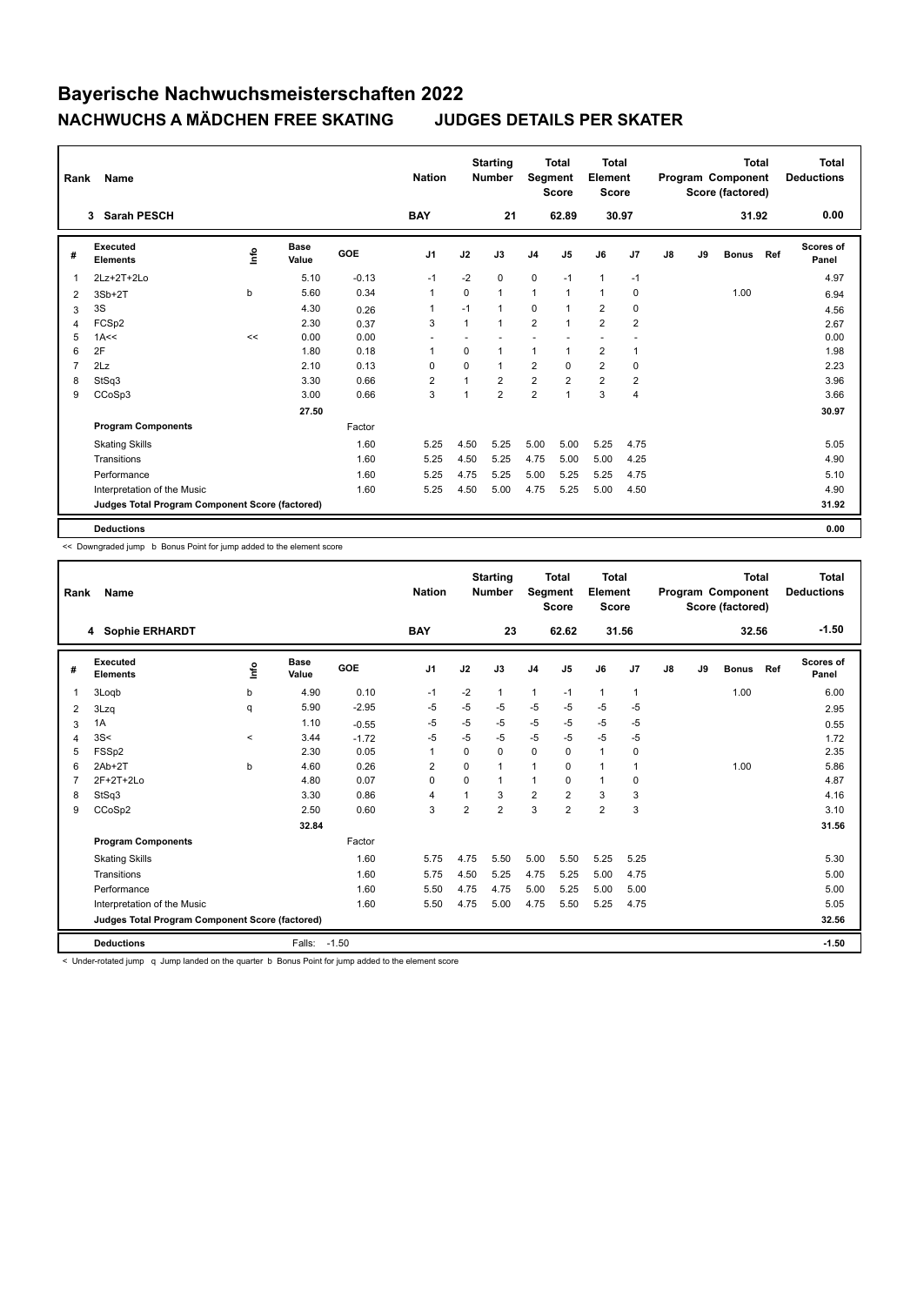| Rank           | <b>Name</b>                                     |             |                      |         | <b>Nation</b>  |                | <b>Starting</b><br><b>Number</b> | Segment        | <b>Total</b><br><b>Score</b> | <b>Total</b><br>Element<br><b>Score</b> |                |               |    | <b>Total</b><br>Program Component<br>Score (factored) |     | <b>Total</b><br><b>Deductions</b> |
|----------------|-------------------------------------------------|-------------|----------------------|---------|----------------|----------------|----------------------------------|----------------|------------------------------|-----------------------------------------|----------------|---------------|----|-------------------------------------------------------|-----|-----------------------------------|
|                | <b>Sarah PESCH</b><br>3                         |             |                      |         | <b>BAY</b>     |                | 21                               |                | 62.89                        |                                         | 30.97          |               |    | 31.92                                                 |     | 0.00                              |
| #              | Executed<br><b>Elements</b>                     | <u>lnfo</u> | <b>Base</b><br>Value | GOE     | J <sub>1</sub> | J2             | J3                               | J <sub>4</sub> | J <sub>5</sub>               | J6                                      | J7             | $\mathsf{J}8$ | J9 | <b>Bonus</b>                                          | Ref | <b>Scores of</b><br>Panel         |
| 1              | 2Lz+2T+2Lo                                      |             | 5.10                 | $-0.13$ | $-1$           | $-2$           | 0                                | $\mathbf 0$    | $-1$                         | $\mathbf{1}$                            | $-1$           |               |    |                                                       |     | 4.97                              |
| 2              | $3Sb+2T$                                        | b           | 5.60                 | 0.34    | $\mathbf{1}$   | 0              | $\mathbf{1}$                     | $\mathbf{1}$   | $\mathbf{1}$                 | $\mathbf{1}$                            | $\mathbf 0$    |               |    | 1.00                                                  |     | 6.94                              |
| 3              | 3S                                              |             | 4.30                 | 0.26    | -1             | $-1$           | $\mathbf{1}$                     | 0              | 1                            | 2                                       | 0              |               |    |                                                       |     | 4.56                              |
| 4              | FCSp2                                           |             | 2.30                 | 0.37    | 3              | $\mathbf{1}$   | 1                                | $\overline{2}$ | $\mathbf{1}$                 | $\overline{2}$                          | $\overline{2}$ |               |    |                                                       |     | 2.67                              |
| 5              | 1A<<                                            | <<          | 0.00                 | 0.00    |                |                |                                  |                |                              |                                         |                |               |    |                                                       |     | 0.00                              |
| 6              | 2F                                              |             | 1.80                 | 0.18    | $\mathbf{1}$   | 0              | 1                                | $\mathbf{1}$   |                              | $\overline{2}$                          | $\overline{1}$ |               |    |                                                       |     | 1.98                              |
| $\overline{7}$ | 2Lz                                             |             | 2.10                 | 0.13    | 0              | $\Omega$       | $\mathbf{1}$                     | $\overline{2}$ | $\Omega$                     | $\overline{2}$                          | $\mathbf 0$    |               |    |                                                       |     | 2.23                              |
| 8              | StSq3                                           |             | 3.30                 | 0.66    | $\overline{2}$ | $\overline{1}$ | $\overline{2}$                   | $\overline{2}$ | 2                            | $\overline{2}$                          | $\overline{2}$ |               |    |                                                       |     | 3.96                              |
| 9              | CCoSp3                                          |             | 3.00                 | 0.66    | 3              | 1              | $\overline{2}$                   | $\overline{2}$ | 1                            | 3                                       | $\overline{4}$ |               |    |                                                       |     | 3.66                              |
|                |                                                 |             | 27.50                |         |                |                |                                  |                |                              |                                         |                |               |    |                                                       |     | 30.97                             |
|                | <b>Program Components</b>                       |             |                      | Factor  |                |                |                                  |                |                              |                                         |                |               |    |                                                       |     |                                   |
|                | <b>Skating Skills</b>                           |             |                      | 1.60    | 5.25           | 4.50           | 5.25                             | 5.00           | 5.00                         | 5.25                                    | 4.75           |               |    |                                                       |     | 5.05                              |
|                | Transitions                                     |             |                      | 1.60    | 5.25           | 4.50           | 5.25                             | 4.75           | 5.00                         | 5.00                                    | 4.25           |               |    |                                                       |     | 4.90                              |
|                | Performance                                     |             |                      | 1.60    | 5.25           | 4.75           | 5.25                             | 5.00           | 5.25                         | 5.25                                    | 4.75           |               |    |                                                       |     | 5.10                              |
|                | Interpretation of the Music                     |             |                      | 1.60    | 5.25           | 4.50           | 5.00                             | 4.75           | 5.25                         | 5.00                                    | 4.50           |               |    |                                                       |     | 4.90                              |
|                | Judges Total Program Component Score (factored) |             |                      |         |                |                |                                  |                |                              |                                         |                |               |    |                                                       |     | 31.92                             |
|                | <b>Deductions</b>                               |             |                      |         |                |                |                                  |                |                              |                                         |                |               |    |                                                       |     | 0.00                              |

<< Downgraded jump b Bonus Point for jump added to the element score

| Rank | Name                                            |         |                      |         | <b>Nation</b>  |                | <b>Starting</b><br><b>Number</b> | Segment        | Total<br><b>Score</b> | <b>Total</b><br>Element<br><b>Score</b> |              |    |    | <b>Total</b><br>Program Component<br>Score (factored) |     | <b>Total</b><br><b>Deductions</b> |
|------|-------------------------------------------------|---------|----------------------|---------|----------------|----------------|----------------------------------|----------------|-----------------------|-----------------------------------------|--------------|----|----|-------------------------------------------------------|-----|-----------------------------------|
|      | 4 Sophie ERHARDT                                |         |                      |         | <b>BAY</b>     |                | 23                               |                | 62.62                 | 31.56                                   |              |    |    | 32.56                                                 |     | $-1.50$                           |
| #    | Executed<br><b>Elements</b>                     | lnfo    | <b>Base</b><br>Value | GOE     | J <sub>1</sub> | J2             | J3                               | J <sub>4</sub> | J5                    | J6                                      | J7           | J8 | J9 | <b>Bonus</b>                                          | Ref | <b>Scores of</b><br>Panel         |
| 1    | 3Logb                                           | b       | 4.90                 | 0.10    | $-1$           | $-2$           | 1                                | $\mathbf{1}$   | $-1$                  | $\mathbf{1}$                            | $\mathbf{1}$ |    |    | 1.00                                                  |     | 6.00                              |
| 2    | 3Lzq                                            | q       | 5.90                 | $-2.95$ | -5             | $-5$           | $-5$                             | $-5$           | $-5$                  | $-5$                                    | $-5$         |    |    |                                                       |     | 2.95                              |
| 3    | 1A                                              |         | 1.10                 | $-0.55$ | $-5$           | -5             | $-5$                             | $-5$           | $-5$                  | $-5$                                    | $-5$         |    |    |                                                       |     | 0.55                              |
| 4    | 3S<                                             | $\prec$ | 3.44                 | $-1.72$ | $-5$           | $-5$           | $-5$                             | $-5$           | $-5$                  | $-5$                                    | $-5$         |    |    |                                                       |     | 1.72                              |
| 5    | FSSp2                                           |         | 2.30                 | 0.05    | $\mathbf{1}$   | 0              | 0                                | $\mathbf 0$    | 0                     | $\mathbf{1}$                            | 0            |    |    |                                                       |     | 2.35                              |
| 6    | $2Ab+2T$                                        | b       | 4.60                 | 0.26    | 2              | $\Omega$       | 1                                | $\mathbf{1}$   | $\Omega$              | $\overline{1}$                          | $\mathbf{1}$ |    |    | 1.00                                                  |     | 5.86                              |
| 7    | $2F+2T+2Lo$                                     |         | 4.80                 | 0.07    | $\Omega$       | $\Omega$       | $\mathbf{1}$                     | $\mathbf{1}$   | $\Omega$              | $\mathbf{1}$                            | $\mathbf 0$  |    |    |                                                       |     | 4.87                              |
| 8    | StSq3                                           |         | 3.30                 | 0.86    | $\overline{4}$ |                | 3                                | $\overline{2}$ | $\overline{2}$        | 3                                       | 3            |    |    |                                                       |     | 4.16                              |
| 9    | CCoSp2                                          |         | 2.50                 | 0.60    | 3              | $\overline{2}$ | $\overline{2}$                   | 3              | $\overline{2}$        | $\overline{2}$                          | 3            |    |    |                                                       |     | 3.10                              |
|      |                                                 |         | 32.84                |         |                |                |                                  |                |                       |                                         |              |    |    |                                                       |     | 31.56                             |
|      | <b>Program Components</b>                       |         |                      | Factor  |                |                |                                  |                |                       |                                         |              |    |    |                                                       |     |                                   |
|      | <b>Skating Skills</b>                           |         |                      | 1.60    | 5.75           | 4.75           | 5.50                             | 5.00           | 5.50                  | 5.25                                    | 5.25         |    |    |                                                       |     | 5.30                              |
|      | Transitions                                     |         |                      | 1.60    | 5.75           | 4.50           | 5.25                             | 4.75           | 5.25                  | 5.00                                    | 4.75         |    |    |                                                       |     | 5.00                              |
|      | Performance                                     |         |                      | 1.60    | 5.50           | 4.75           | 4.75                             | 5.00           | 5.25                  | 5.00                                    | 5.00         |    |    |                                                       |     | 5.00                              |
|      | Interpretation of the Music                     |         |                      | 1.60    | 5.50           | 4.75           | 5.00                             | 4.75           | 5.50                  | 5.25                                    | 4.75         |    |    |                                                       |     | 5.05                              |
|      | Judges Total Program Component Score (factored) |         |                      |         |                |                |                                  |                |                       |                                         |              |    |    |                                                       |     | 32.56                             |
|      | <b>Deductions</b>                               |         | Falls:               | $-1.50$ |                |                |                                  |                |                       |                                         |              |    |    |                                                       |     | $-1.50$                           |

< Under-rotated jump q Jump landed on the quarter b Bonus Point for jump added to the element score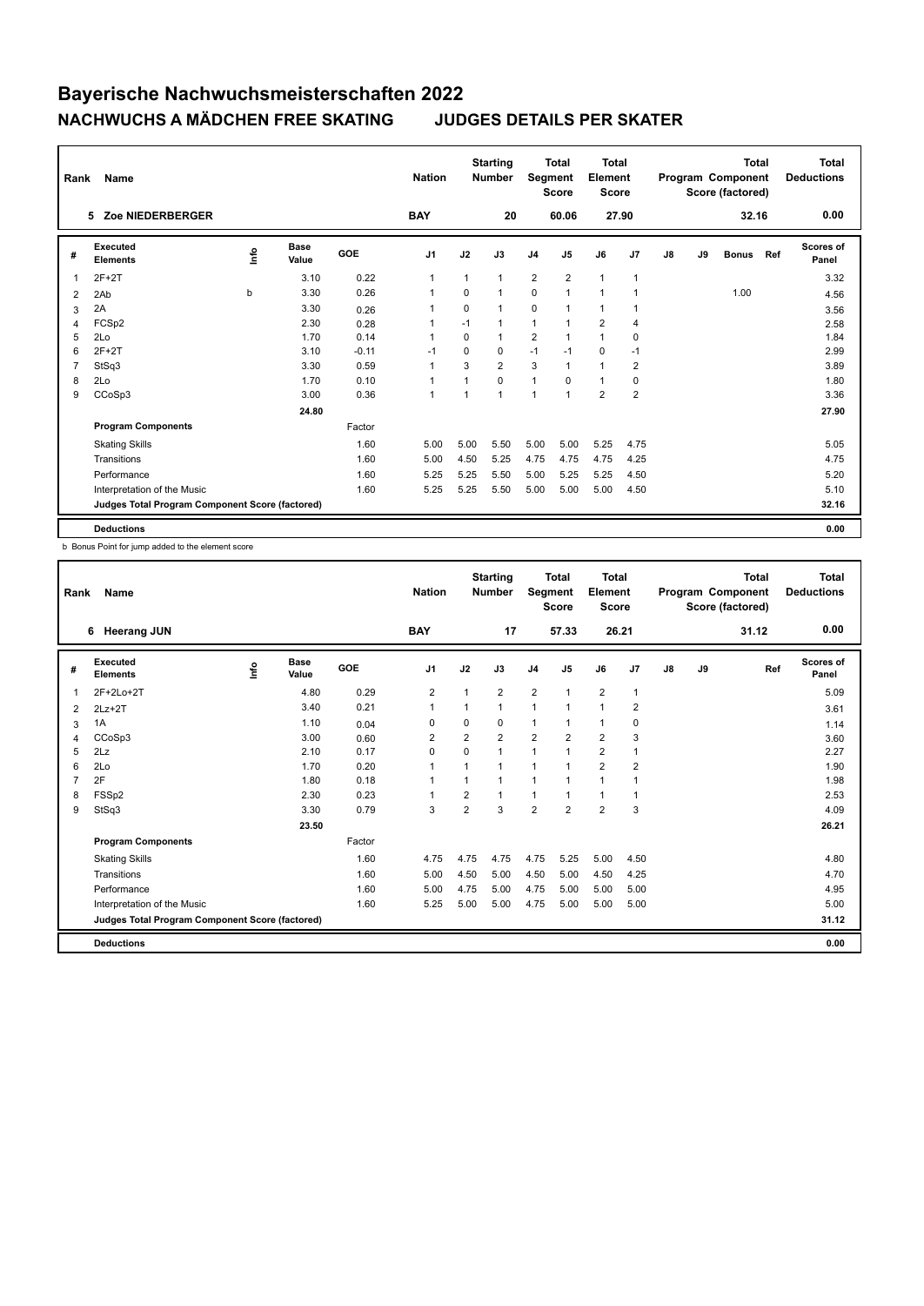| Rank           | Name                                            |      |                      |         | <b>Nation</b>  |             | <b>Starting</b><br><b>Number</b> | Segment        | <b>Total</b><br><b>Score</b> | <b>Total</b><br>Element<br><b>Score</b> |                |    |    | <b>Total</b><br>Program Component<br>Score (factored) |     | <b>Total</b><br><b>Deductions</b> |
|----------------|-------------------------------------------------|------|----------------------|---------|----------------|-------------|----------------------------------|----------------|------------------------------|-----------------------------------------|----------------|----|----|-------------------------------------------------------|-----|-----------------------------------|
|                | Zoe NIEDERBERGER<br>5                           |      |                      |         | <b>BAY</b>     |             | 20                               |                | 60.06                        |                                         | 27.90          |    |    | 32.16                                                 |     | 0.00                              |
| #              | Executed<br><b>Elements</b>                     | ١nf٥ | <b>Base</b><br>Value | GOE     | J <sub>1</sub> | J2          | J3                               | J <sub>4</sub> | J5                           | J6                                      | J7             | J8 | J9 | <b>Bonus</b>                                          | Ref | <b>Scores of</b><br>Panel         |
| $\mathbf{1}$   | $2F+2T$                                         |      | 3.10                 | 0.22    | 1              | 1           | 1                                | $\overline{2}$ | $\overline{2}$               | $\mathbf{1}$                            | $\overline{1}$ |    |    |                                                       |     | 3.32                              |
| 2              | 2Ab                                             | b    | 3.30                 | 0.26    | $\mathbf{1}$   | $\Omega$    | 1                                | $\mathbf 0$    | $\mathbf{1}$                 | $\mathbf{1}$                            | 1              |    |    | 1.00                                                  |     | 4.56                              |
| 3              | 2A                                              |      | 3.30                 | 0.26    | 1              | $\Omega$    | $\mathbf{1}$                     | $\mathbf 0$    | 1                            | $\mathbf{1}$                            | 1              |    |    |                                                       |     | 3.56                              |
| 4              | FCSp2                                           |      | 2.30                 | 0.28    | $\mathbf 1$    | $-1$        | $\mathbf{1}$                     | $\mathbf{1}$   |                              | $\overline{2}$                          | $\overline{4}$ |    |    |                                                       |     | 2.58                              |
| 5              | 2Lo                                             |      | 1.70                 | 0.14    | $\overline{1}$ | $\mathbf 0$ | $\mathbf{1}$                     | $\overline{2}$ | $\mathbf{1}$                 | $\mathbf{1}$                            | $\mathbf 0$    |    |    |                                                       |     | 1.84                              |
| 6              | $2F+2T$                                         |      | 3.10                 | $-0.11$ | $-1$           | $\Omega$    | 0                                | $-1$           | $-1$                         | $\mathbf 0$                             | $-1$           |    |    |                                                       |     | 2.99                              |
| $\overline{7}$ | StSq3                                           |      | 3.30                 | 0.59    | $\mathbf 1$    | 3           | $\overline{2}$                   | 3              | $\mathbf{1}$                 | $\mathbf{1}$                            | 2              |    |    |                                                       |     | 3.89                              |
| 8              | 2Lo                                             |      | 1.70                 | 0.10    | $\mathbf 1$    |             | $\Omega$                         | $\mathbf{1}$   | $\Omega$                     | $\mathbf{1}$                            | $\mathbf 0$    |    |    |                                                       |     | 1.80                              |
| 9              | CCoSp3                                          |      | 3.00                 | 0.36    | $\mathbf{1}$   |             | $\mathbf{1}$                     | 1              | $\overline{ }$               | $\overline{2}$                          | $\overline{2}$ |    |    |                                                       |     | 3.36                              |
|                |                                                 |      | 24.80                |         |                |             |                                  |                |                              |                                         |                |    |    |                                                       |     | 27.90                             |
|                | <b>Program Components</b>                       |      |                      | Factor  |                |             |                                  |                |                              |                                         |                |    |    |                                                       |     |                                   |
|                | <b>Skating Skills</b>                           |      |                      | 1.60    | 5.00           | 5.00        | 5.50                             | 5.00           | 5.00                         | 5.25                                    | 4.75           |    |    |                                                       |     | 5.05                              |
|                | Transitions                                     |      |                      | 1.60    | 5.00           | 4.50        | 5.25                             | 4.75           | 4.75                         | 4.75                                    | 4.25           |    |    |                                                       |     | 4.75                              |
|                | Performance                                     |      |                      | 1.60    | 5.25           | 5.25        | 5.50                             | 5.00           | 5.25                         | 5.25                                    | 4.50           |    |    |                                                       |     | 5.20                              |
|                | Interpretation of the Music                     |      |                      | 1.60    | 5.25           | 5.25        | 5.50                             | 5.00           | 5.00                         | 5.00                                    | 4.50           |    |    |                                                       |     | 5.10                              |
|                | Judges Total Program Component Score (factored) |      |                      |         |                |             |                                  |                |                              |                                         |                |    |    |                                                       |     | 32.16                             |
|                | <b>Deductions</b>                               |      |                      |         |                |             |                                  |                |                              |                                         |                |    |    |                                                       |     | 0.00                              |

b Bonus Point for jump added to the element score

| Rank         | Name                                            |      |                      |            | <b>Nation</b>  |                | <b>Starting</b><br><b>Number</b> | Segment        | <b>Total</b><br><b>Score</b> | Total<br>Element<br><b>Score</b> |                |               |    | <b>Total</b><br>Program Component<br>Score (factored) | <b>Total</b><br><b>Deductions</b> |
|--------------|-------------------------------------------------|------|----------------------|------------|----------------|----------------|----------------------------------|----------------|------------------------------|----------------------------------|----------------|---------------|----|-------------------------------------------------------|-----------------------------------|
|              | <b>Heerang JUN</b><br>6                         |      |                      |            | <b>BAY</b>     |                | 17                               |                | 57.33                        | 26.21                            |                |               |    | 31.12                                                 | 0.00                              |
| #            | Executed<br><b>Elements</b>                     | lnfo | <b>Base</b><br>Value | <b>GOE</b> | J <sub>1</sub> | J2             | J3                               | J <sub>4</sub> | J <sub>5</sub>               | J6                               | J7             | $\mathsf{J}8$ | J9 | Ref                                                   | Scores of<br>Panel                |
| $\mathbf{1}$ | 2F+2Lo+2T                                       |      | 4.80                 | 0.29       | $\overline{2}$ |                | $\overline{2}$                   | $\overline{2}$ | $\overline{1}$               | $\overline{2}$                   | $\mathbf{1}$   |               |    |                                                       | 5.09                              |
| 2            | $2Lz+2T$                                        |      | 3.40                 | 0.21       | $\overline{1}$ |                | $\mathbf{1}$                     | 1              | $\overline{1}$               | 1                                | 2              |               |    |                                                       | 3.61                              |
| 3            | 1A                                              |      | 1.10                 | 0.04       | 0              | 0              | $\Omega$                         | 1              | $\overline{1}$               | 1                                | 0              |               |    |                                                       | 1.14                              |
| 4            | CCoSp3                                          |      | 3.00                 | 0.60       | 2              | 2              | $\overline{2}$                   | $\overline{2}$ | $\overline{2}$               | $\overline{2}$                   | 3              |               |    |                                                       | 3.60                              |
| 5            | 2Lz                                             |      | 2.10                 | 0.17       | $\mathbf 0$    | 0              | $\mathbf{1}$                     | $\mathbf{1}$   |                              | $\overline{2}$                   | $\mathbf{1}$   |               |    |                                                       | 2.27                              |
| 6            | 2Lo                                             |      | 1.70                 | 0.20       | $\overline{1}$ |                | $\mathbf{1}$                     | 1              |                              | $\overline{2}$                   | $\overline{2}$ |               |    |                                                       | 1.90                              |
| 7            | 2F                                              |      | 1.80                 | 0.18       | -1             |                | $\mathbf{1}$                     | 1              |                              | 1                                | 1              |               |    |                                                       | 1.98                              |
| 8            | FSSp2                                           |      | 2.30                 | 0.23       | -1             | 2              | $\mathbf{1}$                     | 1              |                              | $\mathbf{1}$                     | $\mathbf{1}$   |               |    |                                                       | 2.53                              |
| 9            | StSq3                                           |      | 3.30                 | 0.79       | 3              | $\overline{2}$ | 3                                | $\overline{2}$ | $\overline{2}$               | $\overline{2}$                   | 3              |               |    |                                                       | 4.09                              |
|              |                                                 |      | 23.50                |            |                |                |                                  |                |                              |                                  |                |               |    |                                                       | 26.21                             |
|              | <b>Program Components</b>                       |      |                      | Factor     |                |                |                                  |                |                              |                                  |                |               |    |                                                       |                                   |
|              | <b>Skating Skills</b>                           |      |                      | 1.60       | 4.75           | 4.75           | 4.75                             | 4.75           | 5.25                         | 5.00                             | 4.50           |               |    |                                                       | 4.80                              |
|              | Transitions                                     |      |                      | 1.60       | 5.00           | 4.50           | 5.00                             | 4.50           | 5.00                         | 4.50                             | 4.25           |               |    |                                                       | 4.70                              |
|              | Performance                                     |      |                      | 1.60       | 5.00           | 4.75           | 5.00                             | 4.75           | 5.00                         | 5.00                             | 5.00           |               |    |                                                       | 4.95                              |
|              | Interpretation of the Music                     |      |                      | 1.60       | 5.25           | 5.00           | 5.00                             | 4.75           | 5.00                         | 5.00                             | 5.00           |               |    |                                                       | 5.00                              |
|              | Judges Total Program Component Score (factored) |      |                      |            |                |                |                                  |                |                              |                                  |                |               |    |                                                       | 31.12                             |
|              | <b>Deductions</b>                               |      |                      |            |                |                |                                  |                |                              |                                  |                |               |    |                                                       | 0.00                              |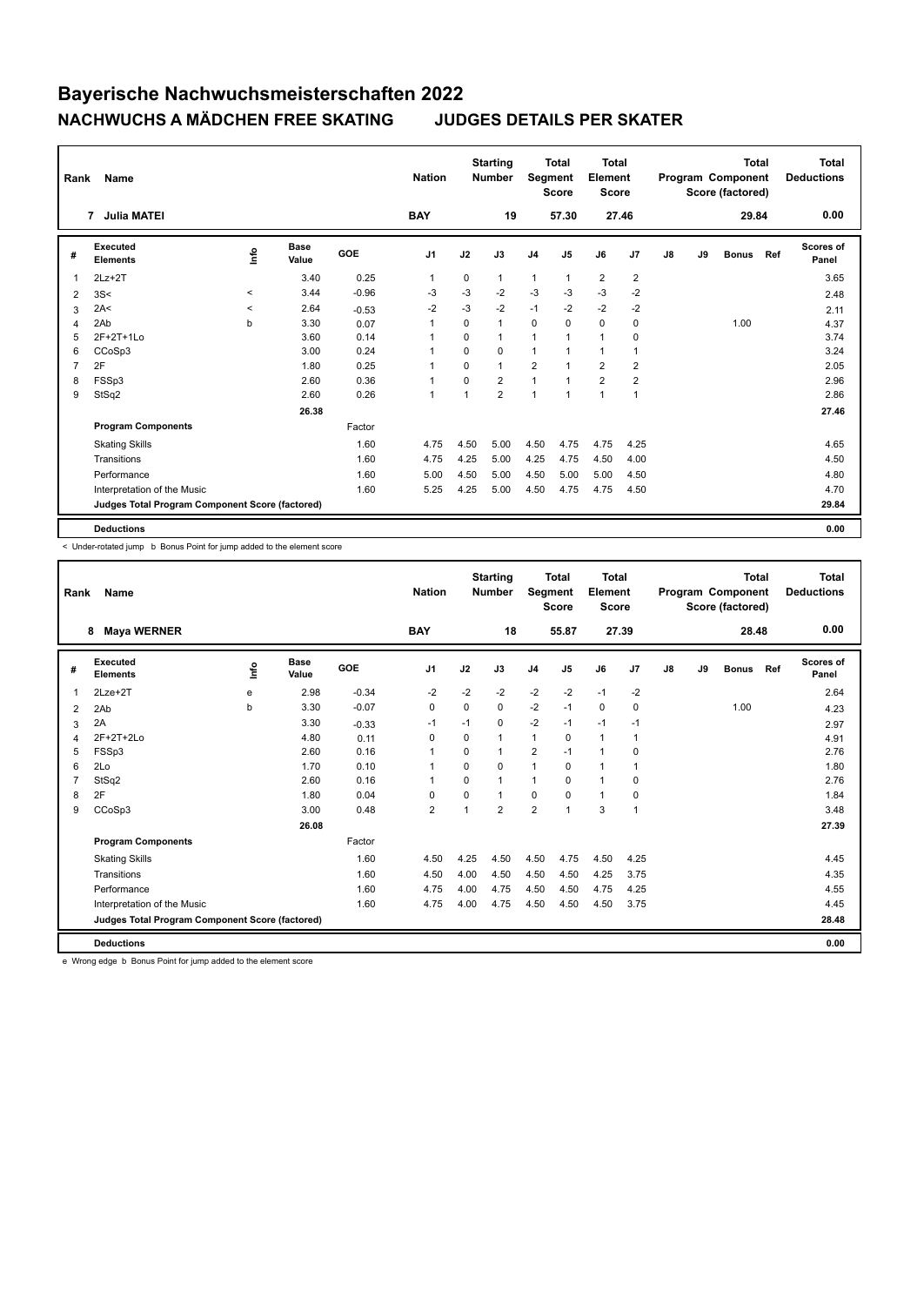| Rank           | Name                                            |                |                      |            | <b>Nation</b>  |             | <b>Starting</b><br><b>Number</b> |                | <b>Total</b><br>Segment<br><b>Score</b> | <b>Total</b><br>Element<br>Score |                |    |    | <b>Total</b><br>Program Component<br>Score (factored) |     | <b>Total</b><br><b>Deductions</b> |
|----------------|-------------------------------------------------|----------------|----------------------|------------|----------------|-------------|----------------------------------|----------------|-----------------------------------------|----------------------------------|----------------|----|----|-------------------------------------------------------|-----|-----------------------------------|
|                | <b>Julia MATEI</b><br>7                         |                |                      |            | <b>BAY</b>     |             | 19                               |                | 57.30                                   |                                  | 27.46          |    |    | 29.84                                                 |     | 0.00                              |
| #              | Executed<br><b>Elements</b>                     | $\frac{6}{10}$ | <b>Base</b><br>Value | <b>GOE</b> | J <sub>1</sub> | J2          | J3                               | J <sub>4</sub> | J <sub>5</sub>                          | J6                               | J <sub>7</sub> | J8 | J9 | <b>Bonus</b>                                          | Ref | <b>Scores of</b><br>Panel         |
| 1              | $2Lz+2T$                                        |                | 3.40                 | 0.25       | 1              | $\Omega$    | $\mathbf{1}$                     | 1              | $\mathbf{1}$                            | $\overline{2}$                   | $\overline{2}$ |    |    |                                                       |     | 3.65                              |
| 2              | 3S<                                             | $\hat{}$       | 3.44                 | $-0.96$    | -3             | $-3$        | $-2$                             | $-3$           | $-3$                                    | $-3$                             | $-2$           |    |    |                                                       |     | 2.48                              |
| 3              | 2A<                                             | $\prec$        | 2.64                 | $-0.53$    | $-2$           | $-3$        | $-2$                             | $-1$           | $-2$                                    | $-2$                             | $-2$           |    |    |                                                       |     | 2.11                              |
| 4              | 2Ab                                             | b              | 3.30                 | 0.07       | $\overline{1}$ | 0           | $\mathbf{1}$                     | 0              | $\Omega$                                | $\mathbf 0$                      | 0              |    |    | 1.00                                                  |     | 4.37                              |
| 5              | 2F+2T+1Lo                                       |                | 3.60                 | 0.14       | $\overline{1}$ | $\mathbf 0$ | $\mathbf{1}$                     | 1              | $\overline{1}$                          | $\mathbf{1}$                     | 0              |    |    |                                                       |     | 3.74                              |
| 6              | CCoSp3                                          |                | 3.00                 | 0.24       | -1             | $\Omega$    | $\mathbf 0$                      | $\mathbf{1}$   |                                         | $\mathbf{1}$                     | $\mathbf{1}$   |    |    |                                                       |     | 3.24                              |
| $\overline{7}$ | 2F                                              |                | 1.80                 | 0.25       |                | $\Omega$    | $\mathbf{1}$                     | $\overline{2}$ |                                         | $\overline{2}$                   | $\overline{2}$ |    |    |                                                       |     | 2.05                              |
| 8              | FSSp3                                           |                | 2.60                 | 0.36       | 1              | 0           | $\overline{2}$                   | 1              |                                         | $\overline{2}$                   | $\overline{2}$ |    |    |                                                       |     | 2.96                              |
| 9              | StSq2                                           |                | 2.60                 | 0.26       | $\overline{1}$ | 1           | $\overline{2}$                   | 1              | $\overline{1}$                          | $\mathbf{1}$                     | $\mathbf{1}$   |    |    |                                                       |     | 2.86                              |
|                |                                                 |                | 26.38                |            |                |             |                                  |                |                                         |                                  |                |    |    |                                                       |     | 27.46                             |
|                | <b>Program Components</b>                       |                |                      | Factor     |                |             |                                  |                |                                         |                                  |                |    |    |                                                       |     |                                   |
|                | <b>Skating Skills</b>                           |                |                      | 1.60       | 4.75           | 4.50        | 5.00                             | 4.50           | 4.75                                    | 4.75                             | 4.25           |    |    |                                                       |     | 4.65                              |
|                | Transitions                                     |                |                      | 1.60       | 4.75           | 4.25        | 5.00                             | 4.25           | 4.75                                    | 4.50                             | 4.00           |    |    |                                                       |     | 4.50                              |
|                | Performance                                     |                |                      | 1.60       | 5.00           | 4.50        | 5.00                             | 4.50           | 5.00                                    | 5.00                             | 4.50           |    |    |                                                       |     | 4.80                              |
|                | Interpretation of the Music                     |                |                      | 1.60       | 5.25           | 4.25        | 5.00                             | 4.50           | 4.75                                    | 4.75                             | 4.50           |    |    |                                                       |     | 4.70                              |
|                | Judges Total Program Component Score (factored) |                |                      |            |                |             |                                  |                |                                         |                                  |                |    |    |                                                       |     | 29.84                             |
|                | <b>Deductions</b>                               |                |                      |            |                |             |                                  |                |                                         |                                  |                |    |    |                                                       |     | 0.00                              |

< Under-rotated jump b Bonus Point for jump added to the element score

| Rank | <b>Name</b>                                     |             |                      |            | <b>Nation</b>  |          | <b>Starting</b><br><b>Number</b> | Segment        | <b>Total</b><br><b>Score</b> | <b>Total</b><br>Element<br><b>Score</b> |                |    |    | <b>Total</b><br>Program Component<br>Score (factored) |     | <b>Total</b><br><b>Deductions</b> |
|------|-------------------------------------------------|-------------|----------------------|------------|----------------|----------|----------------------------------|----------------|------------------------------|-----------------------------------------|----------------|----|----|-------------------------------------------------------|-----|-----------------------------------|
|      | <b>Maya WERNER</b><br>8                         |             |                      |            | <b>BAY</b>     |          | 18                               |                | 55.87                        | 27.39                                   |                |    |    | 28.48                                                 |     | 0.00                              |
| #    | <b>Executed</b><br><b>Elements</b>              | <u>lnfo</u> | <b>Base</b><br>Value | <b>GOE</b> | J <sub>1</sub> | J2       | J3                               | J <sub>4</sub> | J5                           | J6                                      | J7             | J8 | J9 | <b>Bonus</b>                                          | Ref | <b>Scores of</b><br>Panel         |
| 1    | $2$ Lze $+2$ T                                  | e           | 2.98                 | $-0.34$    | $-2$           | $-2$     | $-2$                             | $-2$           | $-2$                         | $-1$                                    | $-2$           |    |    |                                                       |     | 2.64                              |
| 2    | 2Ab                                             | b           | 3.30                 | $-0.07$    | 0              | 0        | 0                                | $-2$           | $-1$                         | $\mathbf 0$                             | 0              |    |    | 1.00                                                  |     | 4.23                              |
| 3    | 2A                                              |             | 3.30                 | $-0.33$    | $-1$           | $-1$     | 0                                | $-2$           | $-1$                         | $-1$                                    | $-1$           |    |    |                                                       |     | 2.97                              |
| 4    | 2F+2T+2Lo                                       |             | 4.80                 | 0.11       | $\Omega$       | $\Omega$ | 1                                | $\mathbf{1}$   | $\Omega$                     | $\mathbf{1}$                            | $\mathbf{1}$   |    |    |                                                       |     | 4.91                              |
| 5    | FSSp3                                           |             | 2.60                 | 0.16       | 1              | $\Omega$ | 1                                | $\overline{2}$ | $-1$                         | $\mathbf{1}$                            | $\mathbf 0$    |    |    |                                                       |     | 2.76                              |
| 6    | 2Lo                                             |             | 1.70                 | 0.10       |                | $\Omega$ | $\Omega$                         | $\mathbf{1}$   | $\Omega$                     | $\mathbf{1}$                            | 1              |    |    |                                                       |     | 1.80                              |
| 7    | StSq2                                           |             | 2.60                 | 0.16       | 1              | $\Omega$ | $\mathbf{1}$                     | $\mathbf{1}$   | $\Omega$                     | $\overline{1}$                          | 0              |    |    |                                                       |     | 2.76                              |
| 8    | 2F                                              |             | 1.80                 | 0.04       | $\Omega$       | $\Omega$ | $\mathbf{1}$                     | 0              | $\Omega$                     | $\mathbf{1}$                            | 0              |    |    |                                                       |     | 1.84                              |
| 9    | CCoSp3                                          |             | 3.00                 | 0.48       | $\overline{2}$ |          | $\overline{2}$                   | $\overline{2}$ |                              | 3                                       | $\overline{1}$ |    |    |                                                       |     | 3.48                              |
|      |                                                 |             | 26.08                |            |                |          |                                  |                |                              |                                         |                |    |    |                                                       |     | 27.39                             |
|      | <b>Program Components</b>                       |             |                      | Factor     |                |          |                                  |                |                              |                                         |                |    |    |                                                       |     |                                   |
|      | <b>Skating Skills</b>                           |             |                      | 1.60       | 4.50           | 4.25     | 4.50                             | 4.50           | 4.75                         | 4.50                                    | 4.25           |    |    |                                                       |     | 4.45                              |
|      | Transitions                                     |             |                      | 1.60       | 4.50           | 4.00     | 4.50                             | 4.50           | 4.50                         | 4.25                                    | 3.75           |    |    |                                                       |     | 4.35                              |
|      | Performance                                     |             |                      | 1.60       | 4.75           | 4.00     | 4.75                             | 4.50           | 4.50                         | 4.75                                    | 4.25           |    |    |                                                       |     | 4.55                              |
|      | Interpretation of the Music                     |             |                      | 1.60       | 4.75           | 4.00     | 4.75                             | 4.50           | 4.50                         | 4.50                                    | 3.75           |    |    |                                                       |     | 4.45                              |
|      | Judges Total Program Component Score (factored) |             |                      |            |                |          |                                  |                |                              |                                         |                |    |    |                                                       |     | 28.48                             |
|      | <b>Deductions</b>                               |             |                      |            |                |          |                                  |                |                              |                                         |                |    |    |                                                       |     | 0.00                              |

e Wrong edge b Bonus Point for jump added to the element score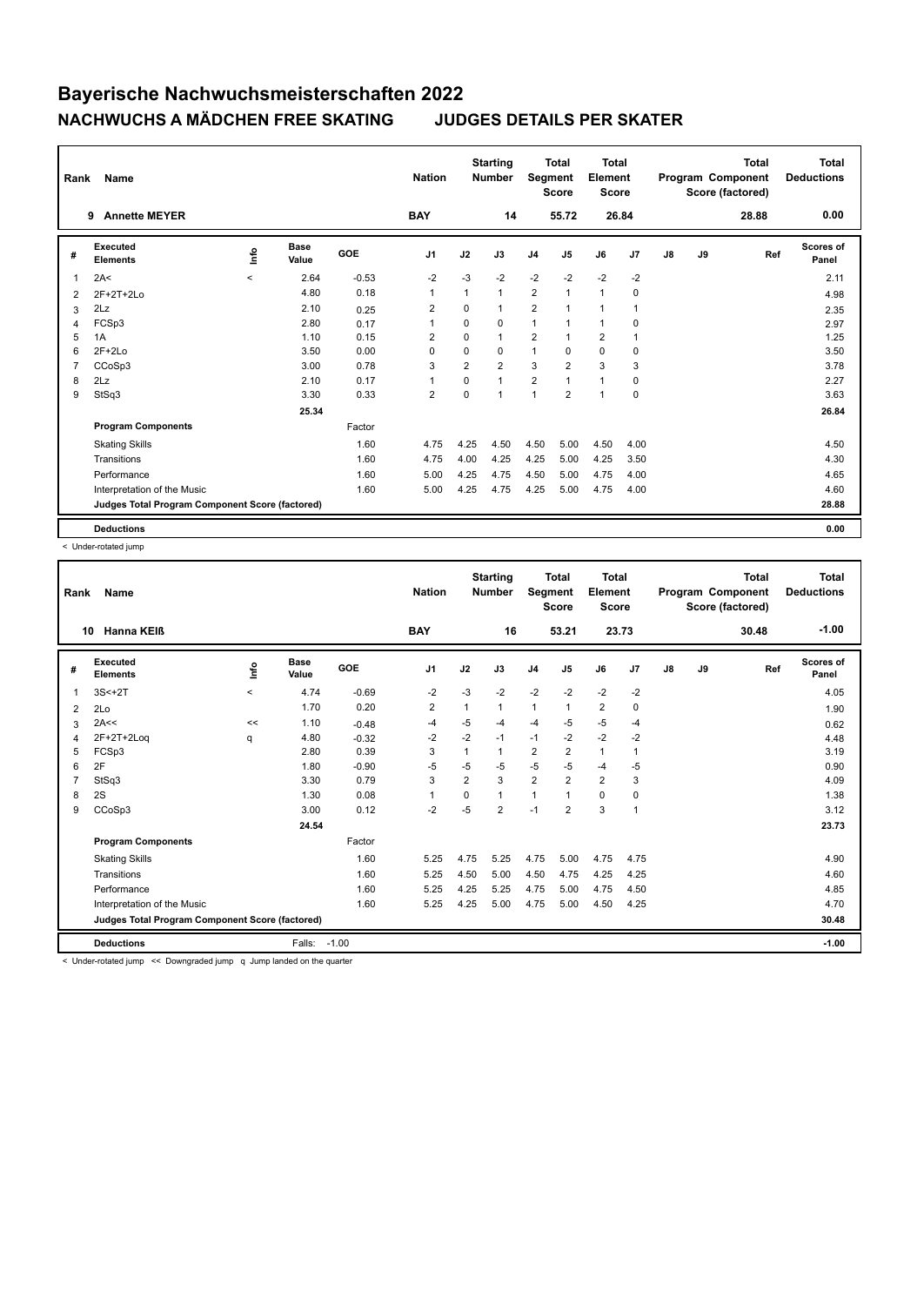| Rank | <b>Name</b>                                     |         |                      |         | <b>Nation</b>  |                | <b>Starting</b><br><b>Number</b> | Segment        | <b>Total</b><br><b>Score</b> | <b>Total</b><br>Element<br><b>Score</b> |             |               |    | <b>Total</b><br>Program Component<br>Score (factored) | <b>Total</b><br><b>Deductions</b> |
|------|-------------------------------------------------|---------|----------------------|---------|----------------|----------------|----------------------------------|----------------|------------------------------|-----------------------------------------|-------------|---------------|----|-------------------------------------------------------|-----------------------------------|
|      | <b>Annette MEYER</b><br>9                       |         |                      |         | <b>BAY</b>     |                | 14                               |                | 55.72                        |                                         | 26.84       |               |    | 28.88                                                 | 0.00                              |
| #    | Executed<br><b>Elements</b>                     | ١nfo    | <b>Base</b><br>Value | GOE     | J <sub>1</sub> | J2             | J3                               | J <sub>4</sub> | J5                           | J6                                      | J7          | $\mathsf{J}8$ | J9 | Ref                                                   | <b>Scores of</b><br>Panel         |
| 1    | 2A<                                             | $\prec$ | 2.64                 | $-0.53$ | $-2$           | $-3$           | $-2$                             | $-2$           | $-2$                         | $-2$                                    | $-2$        |               |    |                                                       | 2.11                              |
| 2    | $2F+2T+2Lo$                                     |         | 4.80                 | 0.18    | $\mathbf{1}$   | 1              | $\mathbf{1}$                     | $\overline{2}$ | $\overline{1}$               | $\overline{1}$                          | $\mathbf 0$ |               |    |                                                       | 4.98                              |
| 3    | 2Lz                                             |         | 2.10                 | 0.25    | 2              | 0              | $\mathbf{1}$                     | $\overline{2}$ | 1                            | $\mathbf{1}$                            | 1           |               |    |                                                       | 2.35                              |
| 4    | FCSp3                                           |         | 2.80                 | 0.17    | $\mathbf{1}$   | $\Omega$       | 0                                | $\mathbf{1}$   | 1                            | $\mathbf{1}$                            | 0           |               |    |                                                       | 2.97                              |
| 5    | 1A                                              |         | 1.10                 | 0.15    | 2              | $\mathbf 0$    | 1                                | 2              | 1                            | $\overline{2}$                          | 1           |               |    |                                                       | 1.25                              |
| 6    | $2F+2Lo$                                        |         | 3.50                 | 0.00    | $\Omega$       | $\Omega$       | 0                                | $\mathbf{1}$   | $\Omega$                     | $\mathbf 0$                             | 0           |               |    |                                                       | 3.50                              |
|      | CCoSp3                                          |         | 3.00                 | 0.78    | 3              | $\overline{2}$ | $\overline{2}$                   | 3              | $\overline{2}$               | 3                                       | 3           |               |    |                                                       | 3.78                              |
| 8    | 2Lz                                             |         | 2.10                 | 0.17    | $\mathbf{1}$   | $\Omega$       | $\mathbf{1}$                     | $\overline{2}$ | 1                            | $\mathbf{1}$                            | 0           |               |    |                                                       | 2.27                              |
| 9    | StSq3                                           |         | 3.30                 | 0.33    | $\overline{2}$ | $\mathbf 0$    | 1                                | $\overline{1}$ | $\overline{2}$               | $\overline{1}$                          | 0           |               |    |                                                       | 3.63                              |
|      |                                                 |         | 25.34                |         |                |                |                                  |                |                              |                                         |             |               |    |                                                       | 26.84                             |
|      | <b>Program Components</b>                       |         |                      | Factor  |                |                |                                  |                |                              |                                         |             |               |    |                                                       |                                   |
|      | <b>Skating Skills</b>                           |         |                      | 1.60    | 4.75           | 4.25           | 4.50                             | 4.50           | 5.00                         | 4.50                                    | 4.00        |               |    |                                                       | 4.50                              |
|      | Transitions                                     |         |                      | 1.60    | 4.75           | 4.00           | 4.25                             | 4.25           | 5.00                         | 4.25                                    | 3.50        |               |    |                                                       | 4.30                              |
|      | Performance                                     |         |                      | 1.60    | 5.00           | 4.25           | 4.75                             | 4.50           | 5.00                         | 4.75                                    | 4.00        |               |    |                                                       | 4.65                              |
|      | Interpretation of the Music                     |         |                      | 1.60    | 5.00           | 4.25           | 4.75                             | 4.25           | 5.00                         | 4.75                                    | 4.00        |               |    |                                                       | 4.60                              |
|      | Judges Total Program Component Score (factored) |         |                      |         |                |                |                                  |                |                              |                                         |             |               |    |                                                       | 28.88                             |
|      | <b>Deductions</b>                               |         |                      |         |                |                |                                  |                |                              |                                         |             |               |    |                                                       | 0.00                              |

< Under-rotated jump

| Rank         | Name                                            |       |                      |            | <b>Nation</b>  |                | <b>Starting</b><br><b>Number</b> | Segment        | <b>Total</b><br><b>Score</b> | <b>Total</b><br>Element<br><b>Score</b> |              |    |    | <b>Total</b><br>Program Component<br>Score (factored) | <b>Total</b><br><b>Deductions</b> |
|--------------|-------------------------------------------------|-------|----------------------|------------|----------------|----------------|----------------------------------|----------------|------------------------------|-----------------------------------------|--------------|----|----|-------------------------------------------------------|-----------------------------------|
|              | Hanna KEIß<br>10                                |       |                      |            | <b>BAY</b>     |                | 16                               |                | 53.21                        | 23.73                                   |              |    |    | 30.48                                                 | $-1.00$                           |
| #            | Executed<br><b>Elements</b>                     | lnfo  | <b>Base</b><br>Value | <b>GOE</b> | J <sub>1</sub> | J2             | J3                               | J <sub>4</sub> | J <sub>5</sub>               | J6                                      | J7           | J8 | J9 | Ref                                                   | <b>Scores of</b><br>Panel         |
| $\mathbf{1}$ | $3S<+2T$                                        | $\,<$ | 4.74                 | $-0.69$    | $-2$           | $-3$           | $-2$                             | $-2$           | $-2$                         | $-2$                                    | $-2$         |    |    |                                                       | 4.05                              |
| 2            | 2Lo                                             |       | 1.70                 | 0.20       | 2              | 1              | $\mathbf{1}$                     | 1              | $\mathbf{1}$                 | $\overline{2}$                          | 0            |    |    |                                                       | 1.90                              |
| 3            | 2A<<                                            | <<    | 1.10                 | $-0.48$    | -4             | $-5$           | -4                               | $-4$           | $-5$                         | $-5$                                    | $-4$         |    |    |                                                       | 0.62                              |
| 4            | $2F+2T+2Log$                                    | q     | 4.80                 | $-0.32$    | $-2$           | $-2$           | $-1$                             | $-1$           | $-2$                         | $-2$                                    | $-2$         |    |    |                                                       | 4.48                              |
| 5            | FCSp3                                           |       | 2.80                 | 0.39       | 3              | $\mathbf{1}$   | $\mathbf{1}$                     | $\overline{2}$ | $\overline{2}$               | $\mathbf{1}$                            | 1            |    |    |                                                       | 3.19                              |
| 6            | 2F                                              |       | 1.80                 | $-0.90$    | $-5$           | $-5$           | $-5$                             | $-5$           | $-5$                         | $-4$                                    | $-5$         |    |    |                                                       | 0.90                              |
| 7            | StSq3                                           |       | 3.30                 | 0.79       | 3              | $\overline{2}$ | 3                                | $\overline{2}$ | $\overline{2}$               | $\overline{2}$                          | 3            |    |    |                                                       | 4.09                              |
| 8            | 2S                                              |       | 1.30                 | 0.08       | $\overline{1}$ | 0              | $\mathbf{1}$                     | $\mathbf{1}$   |                              | $\mathbf 0$                             | 0            |    |    |                                                       | 1.38                              |
| 9            | CCoSp3                                          |       | 3.00                 | 0.12       | $-2$           | $-5$           | $\overline{2}$                   | $-1$           | $\overline{2}$               | 3                                       | $\mathbf{1}$ |    |    |                                                       | 3.12                              |
|              |                                                 |       | 24.54                |            |                |                |                                  |                |                              |                                         |              |    |    |                                                       | 23.73                             |
|              | <b>Program Components</b>                       |       |                      | Factor     |                |                |                                  |                |                              |                                         |              |    |    |                                                       |                                   |
|              | <b>Skating Skills</b>                           |       |                      | 1.60       | 5.25           | 4.75           | 5.25                             | 4.75           | 5.00                         | 4.75                                    | 4.75         |    |    |                                                       | 4.90                              |
|              | Transitions                                     |       |                      | 1.60       | 5.25           | 4.50           | 5.00                             | 4.50           | 4.75                         | 4.25                                    | 4.25         |    |    |                                                       | 4.60                              |
|              | Performance                                     |       |                      | 1.60       | 5.25           | 4.25           | 5.25                             | 4.75           | 5.00                         | 4.75                                    | 4.50         |    |    |                                                       | 4.85                              |
|              | Interpretation of the Music                     |       |                      | 1.60       | 5.25           | 4.25           | 5.00                             | 4.75           | 5.00                         | 4.50                                    | 4.25         |    |    |                                                       | 4.70                              |
|              | Judges Total Program Component Score (factored) |       |                      |            |                |                |                                  |                |                              |                                         |              |    |    |                                                       | 30.48                             |
|              | <b>Deductions</b>                               |       | Falls:               | $-1.00$    |                |                |                                  |                |                              |                                         |              |    |    |                                                       | $-1.00$                           |

< Under-rotated jump << Downgraded jump q Jump landed on the quarter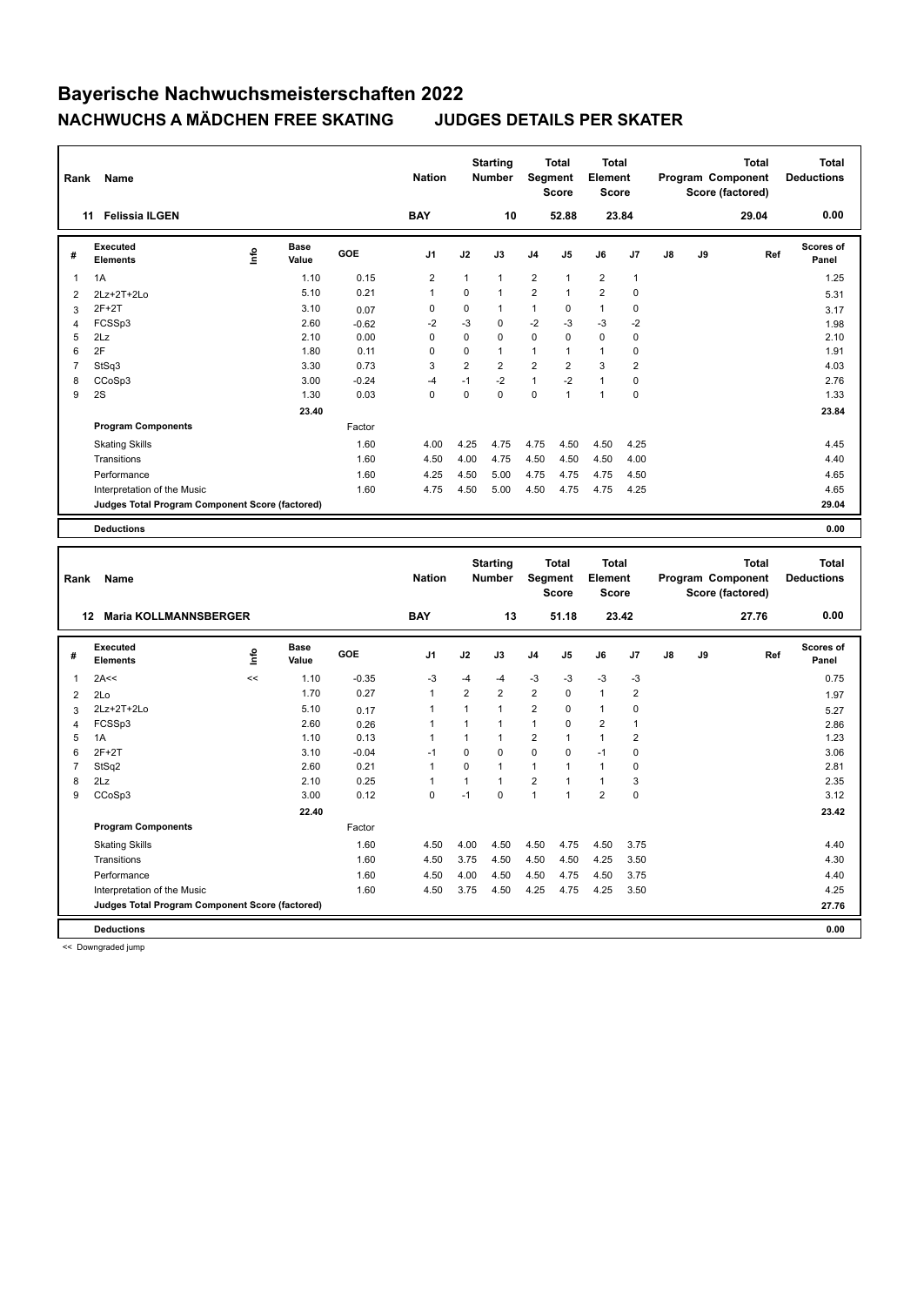| Rank           | Name                                            |             |                      |                 | <b>Nation</b>  |                              | <b>Starting</b><br><b>Number</b> |                                | <b>Total</b><br>Segment<br><b>Score</b> | <b>Total</b><br>Element<br>Score |                        |    |    | Program Component<br>Score (factored) | <b>Total</b> | <b>Total</b><br><b>Deductions</b> |
|----------------|-------------------------------------------------|-------------|----------------------|-----------------|----------------|------------------------------|----------------------------------|--------------------------------|-----------------------------------------|----------------------------------|------------------------|----|----|---------------------------------------|--------------|-----------------------------------|
|                | <b>Felissia ILGEN</b><br>11                     |             |                      |                 | <b>BAY</b>     |                              | 10                               |                                | 52.88                                   |                                  | 23.84                  |    |    |                                       | 29.04        | 0.00                              |
| #              | <b>Executed</b><br><b>Elements</b>              | <u>lnfo</u> | <b>Base</b><br>Value | GOE             | J <sub>1</sub> | J2                           | J3                               | J4                             | J <sub>5</sub>                          | J6                               | J7                     | J8 | J9 |                                       | Ref          | <b>Scores of</b><br>Panel         |
| 1              | 1A                                              |             | 1.10                 | 0.15            | $\overline{2}$ | $\mathbf{1}$                 | $\mathbf{1}$                     | $\overline{2}$                 | $\mathbf{1}$                            | $\overline{2}$                   | $\mathbf{1}$           |    |    |                                       |              | 1.25                              |
| $\overline{2}$ | 2Lz+2T+2Lo                                      |             | 5.10                 | 0.21            | $\mathbf{1}$   | 0                            | $\mathbf{1}$                     | $\overline{2}$                 | $\mathbf{1}$                            | $\overline{2}$                   | $\mathbf 0$            |    |    |                                       |              | 5.31                              |
| 3              | $2F+2T$                                         |             | 3.10                 | 0.07            | 0              | 0                            | $\mathbf{1}$                     | $\mathbf{1}$                   | 0                                       | $\mathbf{1}$                     | $\mathbf 0$            |    |    |                                       |              | 3.17                              |
| 4              | FCSSp3                                          |             | 2.60                 | $-0.62$         | $-2$           | $-3$                         | $\mathbf 0$                      | $-2$                           | $-3$                                    | $-3$                             | $-2$                   |    |    |                                       |              | 1.98                              |
| 5              | 2Lz                                             |             | 2.10                 | 0.00            | 0              | $\mathbf 0$                  | $\mathbf 0$                      | $\mathbf 0$                    | $\mathbf 0$                             | $\mathbf 0$                      | $\mathbf 0$            |    |    |                                       |              | 2.10                              |
| 6              | 2F                                              |             | 1.80                 | 0.11            | 0              | 0                            | $\mathbf{1}$                     | $\mathbf{1}$                   | $\mathbf{1}$                            | $\mathbf{1}$                     | 0                      |    |    |                                       |              | 1.91                              |
| $\overline{7}$ | StSq3                                           |             | 3.30                 | 0.73            | 3              | $\overline{2}$               | $\overline{2}$                   | $\overline{2}$                 | $\overline{2}$                          | 3                                | $\overline{2}$         |    |    |                                       |              | 4.03                              |
| 8              | CCoSp3                                          |             | 3.00                 | $-0.24$         | $-4$           | $-1$                         | $-2$                             | $\mathbf{1}$                   | $-2$                                    | $\mathbf{1}$                     | $\mathbf 0$            |    |    |                                       |              | 2.76                              |
| 9              | 2S                                              |             | 1.30                 | 0.03            | 0              | $\mathbf 0$                  | $\Omega$                         | $\mathbf 0$                    | $\mathbf{1}$                            | $\mathbf{1}$                     | $\mathbf 0$            |    |    |                                       |              | 1.33                              |
|                |                                                 |             | 23.40                |                 |                |                              |                                  |                                |                                         |                                  |                        |    |    |                                       |              | 23.84                             |
|                | <b>Program Components</b>                       |             |                      | Factor          |                |                              |                                  |                                |                                         |                                  |                        |    |    |                                       |              |                                   |
|                | <b>Skating Skills</b>                           |             |                      | 1.60            | 4.00           | 4.25                         | 4.75                             | 4.75                           | 4.50                                    | 4.50                             | 4.25                   |    |    |                                       |              | 4.45                              |
|                | Transitions                                     |             |                      | 1.60            | 4.50           | 4.00                         | 4.75                             | 4.50                           | 4.50                                    | 4.50                             | 4.00                   |    |    |                                       |              | 4.40                              |
|                | Performance                                     |             |                      | 1.60            | 4.25           | 4.50                         | 5.00                             | 4.75                           | 4.75                                    | 4.75                             | 4.50                   |    |    |                                       |              | 4.65                              |
|                | Interpretation of the Music                     |             |                      | 1.60            | 4.75           | 4.50                         | 5.00                             | 4.50                           | 4.75                                    | 4.75                             | 4.25                   |    |    |                                       |              | 4.65                              |
|                | Judges Total Program Component Score (factored) |             |                      |                 |                |                              |                                  |                                |                                         |                                  |                        |    |    |                                       |              | 29.04                             |
|                | <b>Deductions</b>                               |             |                      |                 |                |                              |                                  |                                |                                         |                                  |                        |    |    |                                       |              | 0.00                              |
|                |                                                 |             |                      |                 |                |                              |                                  |                                |                                         |                                  |                        |    |    |                                       |              |                                   |
|                |                                                 |             |                      |                 |                |                              |                                  |                                |                                         |                                  |                        |    |    |                                       |              |                                   |
|                |                                                 |             |                      |                 |                |                              | <b>Starting</b>                  |                                | <b>Total</b>                            | <b>Total</b>                     |                        |    |    |                                       | <b>Total</b> | <b>Total</b>                      |
| Rank           | Name                                            |             |                      |                 | <b>Nation</b>  |                              | Number                           |                                | Segment                                 | Element                          |                        |    |    | Program Component                     |              | <b>Deductions</b>                 |
|                |                                                 |             |                      |                 |                |                              |                                  |                                | <b>Score</b>                            | <b>Score</b>                     |                        |    |    | Score (factored)                      |              |                                   |
|                | 12 Maria KOLLMANNSBERGER                        |             |                      |                 | <b>BAY</b>     |                              | 13                               |                                | 51.18                                   |                                  | 23.42                  |    |    |                                       | 27.76        | 0.00                              |
| #              | <b>Executed</b><br><b>Elements</b>              | Life        | Base<br>Value        | GOE             | J1             | J2                           | J3                               | J4                             | J5                                      | J6                               | J7                     | J8 | J9 |                                       | Ref          | <b>Scores of</b><br>Panel         |
|                |                                                 | <<          |                      |                 |                |                              |                                  |                                |                                         |                                  |                        |    |    |                                       |              |                                   |
| 1              | 2A<<                                            |             | 1.10<br>1.70         | $-0.35$<br>0.27 | $-3$<br>1      | $-4$<br>$\overline{2}$       | -4<br>$\overline{2}$             | $-3$<br>$\overline{2}$         | $-3$<br>0                               | $-3$<br>$\mathbf{1}$             | $-3$<br>$\overline{2}$ |    |    |                                       |              | 0.75                              |
| $\overline{c}$ | 2Lo                                             |             |                      |                 |                |                              | $\mathbf{1}$                     |                                | 0                                       |                                  |                        |    |    |                                       |              | 1.97                              |
| 3              | 2Lz+2T+2Lo                                      |             | 5.10<br>2.60         | 0.17            | 1<br>1         | $\mathbf{1}$<br>$\mathbf{1}$ | $\mathbf{1}$                     | $\overline{2}$<br>$\mathbf{1}$ | 0                                       | $\mathbf{1}$<br>$\overline{2}$   | 0<br>$\mathbf{1}$      |    |    |                                       |              | 5.27                              |
| 4<br>5         | FCSSp3<br>1A                                    |             | 1.10                 | 0.26<br>0.13    | $\mathbf{1}$   | $\mathbf{1}$                 | $\mathbf{1}$                     | $\overline{2}$                 | 1                                       | $\mathbf{1}$                     | $\overline{2}$         |    |    |                                       |              | 2.86<br>1.23                      |
| 6              | $2F+2T$                                         |             | 3.10                 | $-0.04$         | $-1$           | 0                            | $\mathbf 0$                      | 0                              | 0                                       | $-1$                             | 0                      |    |    |                                       |              | 3.06                              |
| $\overline{7}$ | StSq2                                           |             | 2.60                 | 0.21            | $\mathbf{1}$   | 0                            | $\mathbf{1}$                     | $\mathbf{1}$                   | 1                                       | $\mathbf{1}$                     | $\mathbf 0$            |    |    |                                       |              | 2.81                              |
| 8              | 2Lz                                             |             | 2.10                 | 0.25            | $\mathbf{1}$   | $\mathbf{1}$                 | $\mathbf{1}$                     | $\overline{2}$                 | $\mathbf{1}$                            | $\mathbf{1}$                     | 3                      |    |    |                                       |              | 2.35                              |
| 9              | CCoSp3                                          |             | 3.00                 | 0.12            | 0              | $-1$                         | $\mathbf 0$                      | $\mathbf{1}$                   | $\mathbf{1}$                            | $\overline{2}$                   | $\mathbf 0$            |    |    |                                       |              | 3.12                              |
|                |                                                 |             | 22.40                |                 |                |                              |                                  |                                |                                         |                                  |                        |    |    |                                       |              | 23.42                             |
|                | <b>Program Components</b>                       |             |                      | Factor          |                |                              |                                  |                                |                                         |                                  |                        |    |    |                                       |              |                                   |
|                | <b>Skating Skills</b>                           |             |                      | 1.60            | 4.50           | 4.00                         | 4.50                             | 4.50                           | 4.75                                    | 4.50                             | 3.75                   |    |    |                                       |              | 4.40                              |
|                | Transitions                                     |             |                      | 1.60            | 4.50           | 3.75                         | 4.50                             | 4.50                           | 4.50                                    | 4.25                             | 3.50                   |    |    |                                       |              | 4.30                              |
|                | Performance                                     |             |                      | 1.60            | 4.50           | 4.00                         | 4.50                             | 4.50                           | 4.75                                    | 4.50                             | 3.75                   |    |    |                                       |              | 4.40                              |
|                | Interpretation of the Music                     |             |                      | 1.60            | 4.50           | 3.75                         | 4.50                             | 4.25                           | 4.75                                    | 4.25                             | 3.50                   |    |    |                                       |              | 4.25                              |
|                | Judges Total Program Component Score (factored) |             |                      |                 |                |                              |                                  |                                |                                         |                                  |                        |    |    |                                       |              | 27.76                             |

<< Downgraded jump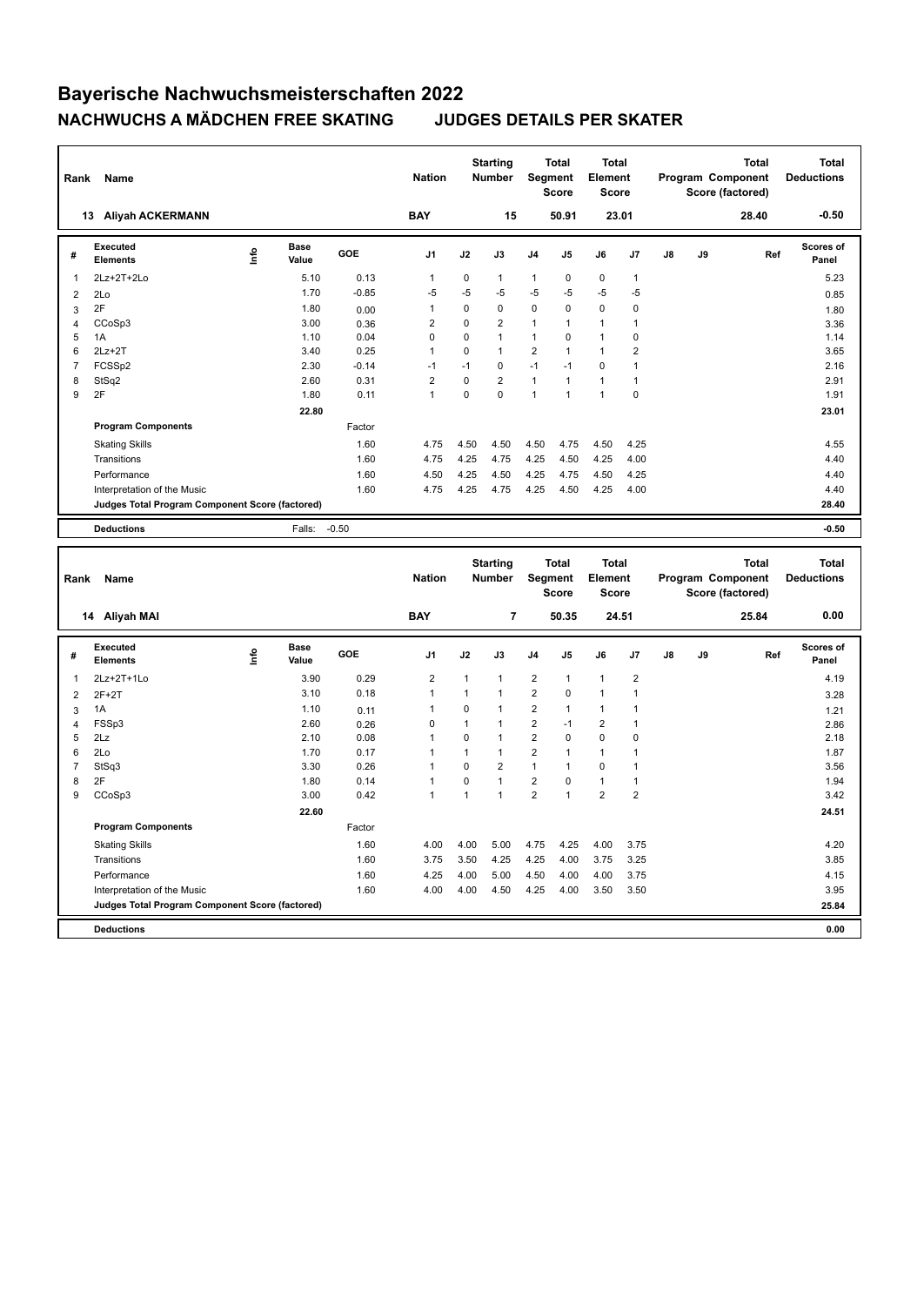| Rank           | Name                                            |      |                      |         | <b>Nation</b>  |              | <b>Starting</b><br>Number |                         | <b>Total</b><br><b>Segment</b><br><b>Score</b> | <b>Total</b><br>Element<br><b>Score</b> |                |               |    | Program Component<br>Score (factored) | <b>Total</b> | <b>Total</b><br><b>Deductions</b> |
|----------------|-------------------------------------------------|------|----------------------|---------|----------------|--------------|---------------------------|-------------------------|------------------------------------------------|-----------------------------------------|----------------|---------------|----|---------------------------------------|--------------|-----------------------------------|
|                | 13 Aliyah ACKERMANN                             |      |                      |         | <b>BAY</b>     |              | 15                        |                         | 50.91                                          |                                         | 23.01          |               |    |                                       | 28.40        | $-0.50$                           |
| #              | Executed<br><b>Elements</b>                     | lnfo | <b>Base</b><br>Value | GOE     | J1             | J2           | J3                        | J4                      | J5                                             | J6                                      | J7             | J8            | J9 |                                       | Ref          | Scores of<br>Panel                |
| 1              | 2Lz+2T+2Lo                                      |      | 5.10                 | 0.13    | 1              | 0            | 1                         | 1                       | 0                                              | 0                                       | $\mathbf{1}$   |               |    |                                       |              | 5.23                              |
| $\overline{2}$ | 2Lo                                             |      | 1.70                 | $-0.85$ | $-5$           | $-5$         | -5                        | -5                      | -5                                             | -5                                      | $-5$           |               |    |                                       |              | 0.85                              |
| 3              | 2F                                              |      | 1.80                 | 0.00    | $\mathbf{1}$   | $\pmb{0}$    | $\mathbf 0$               | $\mathbf 0$             | 0                                              | $\mathbf 0$                             | 0              |               |    |                                       |              | 1.80                              |
| 4              | CCoSp3                                          |      | 3.00                 | 0.36    | $\overline{2}$ | $\mathbf 0$  | $\overline{2}$            | 1                       | $\mathbf{1}$                                   | $\mathbf{1}$                            | 1              |               |    |                                       |              | 3.36                              |
| 5              | 1A                                              |      | 1.10                 | 0.04    | 0              | 0            | $\mathbf{1}$              | $\mathbf{1}$            | 0                                              | $\mathbf{1}$                            | $\mathbf 0$    |               |    |                                       |              | 1.14                              |
| 6              | $2Lz+2T$                                        |      | 3.40                 | 0.25    | $\mathbf{1}$   | 0            | $\mathbf{1}$              | $\overline{2}$          | $\mathbf{1}$                                   | $\mathbf{1}$                            | $\overline{2}$ |               |    |                                       |              | 3.65                              |
| $\overline{7}$ | FCSS <sub>p2</sub>                              |      | 2.30                 | $-0.14$ | $-1$           | $-1$         | $\mathbf 0$               | $-1$                    | $-1$                                           | $\mathbf 0$                             | $\mathbf{1}$   |               |    |                                       |              | 2.16                              |
| 8              | StSq2                                           |      | 2.60                 | 0.31    | $\overline{2}$ | $\mathbf 0$  | $\overline{2}$            | $\mathbf{1}$            | $\mathbf{1}$                                   | $\mathbf{1}$                            | $\mathbf{1}$   |               |    |                                       |              | 2.91                              |
| 9              | 2F                                              |      | 1.80                 | 0.11    | $\mathbf{1}$   | $\mathbf 0$  | $\mathbf 0$               | 1                       | $\mathbf{1}$                                   | 1                                       | $\mathbf 0$    |               |    |                                       |              | 1.91                              |
|                |                                                 |      | 22.80                |         |                |              |                           |                         |                                                |                                         |                |               |    |                                       |              | 23.01                             |
|                | <b>Program Components</b>                       |      |                      | Factor  |                |              |                           |                         |                                                |                                         |                |               |    |                                       |              |                                   |
|                | <b>Skating Skills</b>                           |      |                      | 1.60    | 4.75           | 4.50         | 4.50                      | 4.50                    | 4.75                                           | 4.50                                    | 4.25           |               |    |                                       |              | 4.55                              |
|                | Transitions                                     |      |                      | 1.60    | 4.75           | 4.25         | 4.75                      | 4.25                    | 4.50                                           | 4.25                                    | 4.00           |               |    |                                       |              | 4.40                              |
|                | Performance                                     |      |                      | 1.60    | 4.50           | 4.25         | 4.50                      | 4.25                    | 4.75                                           | 4.50                                    | 4.25           |               |    |                                       |              | 4.40                              |
|                | Interpretation of the Music                     |      |                      | 1.60    | 4.75           | 4.25         | 4.75                      | 4.25                    | 4.50                                           | 4.25                                    | 4.00           |               |    |                                       |              | 4.40                              |
|                | Judges Total Program Component Score (factored) |      |                      |         |                |              |                           |                         |                                                |                                         |                |               |    |                                       |              | 28.40                             |
|                |                                                 |      |                      |         |                |              |                           |                         |                                                |                                         |                |               |    |                                       |              |                                   |
|                | <b>Deductions</b>                               |      | Falls:               | $-0.50$ |                |              |                           |                         |                                                |                                         |                |               |    |                                       |              | $-0.50$                           |
|                |                                                 |      |                      |         |                |              |                           |                         |                                                |                                         |                |               |    |                                       |              |                                   |
|                |                                                 |      |                      |         |                |              |                           |                         |                                                |                                         |                |               |    |                                       |              |                                   |
|                |                                                 |      |                      |         |                |              | <b>Starting</b>           |                         | <b>Total</b>                                   | <b>Total</b>                            |                |               |    |                                       | <b>Total</b> | <b>Total</b>                      |
| Rank           | Name                                            |      |                      |         | <b>Nation</b>  |              | Number                    | <b>Segment</b>          |                                                | Element                                 |                |               |    | Program Component                     |              | <b>Deductions</b>                 |
|                |                                                 |      |                      |         |                |              |                           |                         | Score                                          | Score                                   |                |               |    | Score (factored)                      |              |                                   |
|                | 14 Aliyah MAI                                   |      |                      |         | <b>BAY</b>     |              | $\overline{7}$            |                         | 50.35                                          |                                         | 24.51          |               |    |                                       | 25.84        | 0.00                              |
|                | <b>Executed</b>                                 |      | <b>Base</b>          |         |                |              |                           |                         |                                                |                                         |                |               |    |                                       |              | Scores of                         |
| #              | Elements                                        | ١nf٥ | Value                | GOE     | J1             | J2           | J3                        | J4                      | J5                                             | J6                                      | J7             | $\mathsf{J}8$ | J9 |                                       | Ref          | Panel                             |
| 1              | 2Lz+2T+1Lo                                      |      | 3.90                 | 0.29    | $\overline{2}$ | 1            | $\mathbf{1}$              | $\overline{\mathbf{c}}$ | 1                                              | $\mathbf{1}$                            | $\overline{2}$ |               |    |                                       |              | 4.19                              |
| $\overline{2}$ | $2F+2T$                                         |      | 3.10                 | 0.18    | 1              | $\mathbf{1}$ | 1                         | $\overline{2}$          | 0                                              | $\mathbf{1}$                            | $\mathbf{1}$   |               |    |                                       |              | 3.28                              |
| 3              | 1A                                              |      | 1.10                 | 0.11    | 1              | 0            | $\mathbf{1}$              | $\overline{2}$          | $\mathbf{1}$                                   | $\mathbf{1}$                            | $\mathbf{1}$   |               |    |                                       |              | 1.21                              |
| 4              | FSSp3                                           |      | 2.60                 | 0.26    | 0              | $\mathbf{1}$ | 1                         | $\overline{2}$          | $-1$                                           | $\overline{2}$                          | $\mathbf{1}$   |               |    |                                       |              | 2.86                              |
| 5              | 2Lz                                             |      | 2.10                 | 0.08    | 1              | $\mathbf 0$  | $\mathbf{1}$              | $\overline{2}$          | 0                                              | $\mathbf 0$                             | $\mathbf 0$    |               |    |                                       |              | 2.18                              |
| 6              | 2Lo                                             |      | 1.70                 | 0.17    | 1              | $\mathbf{1}$ | $\mathbf{1}$              | $\overline{2}$          | $\mathbf{1}$                                   | $\mathbf{1}$                            | $\mathbf{1}$   |               |    |                                       |              | 1.87                              |
| $\overline{7}$ | StSq3                                           |      | 3.30                 | 0.26    | 1              | 0            | $\overline{2}$            | $\mathbf{1}$            | $\mathbf{1}$                                   | $\mathbf 0$                             | $\mathbf{1}$   |               |    |                                       |              | 3.56                              |
| 8              | 2F                                              |      | 1.80                 | 0.14    | 1              | 0            | $\mathbf{1}$              | $\overline{2}$          | $\mathbf 0$                                    | $\mathbf{1}$                            | $\mathbf{1}$   |               |    |                                       |              | 1.94                              |
| 9              | CCoSp3                                          |      | 3.00                 | 0.42    | $\mathbf{1}$   | $\mathbf{1}$ | $\mathbf{1}$              | $\overline{2}$          | $\mathbf{1}$                                   | $\overline{2}$                          | $\overline{2}$ |               |    |                                       |              | 3.42                              |
|                |                                                 |      | 22.60                |         |                |              |                           |                         |                                                |                                         |                |               |    |                                       |              | 24.51                             |
|                | <b>Program Components</b>                       |      |                      | Factor  |                |              |                           |                         |                                                |                                         |                |               |    |                                       |              |                                   |
|                | <b>Skating Skills</b>                           |      |                      | 1.60    | 4.00           | 4.00         | 5.00                      | 4.75                    | 4.25                                           | 4.00                                    | 3.75           |               |    |                                       |              | 4.20                              |
|                | Transitions                                     |      |                      | 1.60    | 3.75           | 3.50         | 4.25                      | 4.25                    | 4.00                                           | 3.75                                    | 3.25           |               |    |                                       |              | 3.85                              |
|                | Performance                                     |      |                      | 1.60    | 4.25           | 4.00         | 5.00                      | 4.50                    | 4.00                                           | 4.00                                    | 3.75           |               |    |                                       |              | 4.15                              |
|                | Interpretation of the Music                     |      |                      | 1.60    | 4.00           | 4.00         | 4.50                      | 4.25                    | 4.00                                           | 3.50                                    | 3.50           |               |    |                                       |              | 3.95                              |
|                | Judges Total Program Component Score (factored) |      |                      |         |                |              |                           |                         |                                                |                                         |                |               |    |                                       |              | 25.84                             |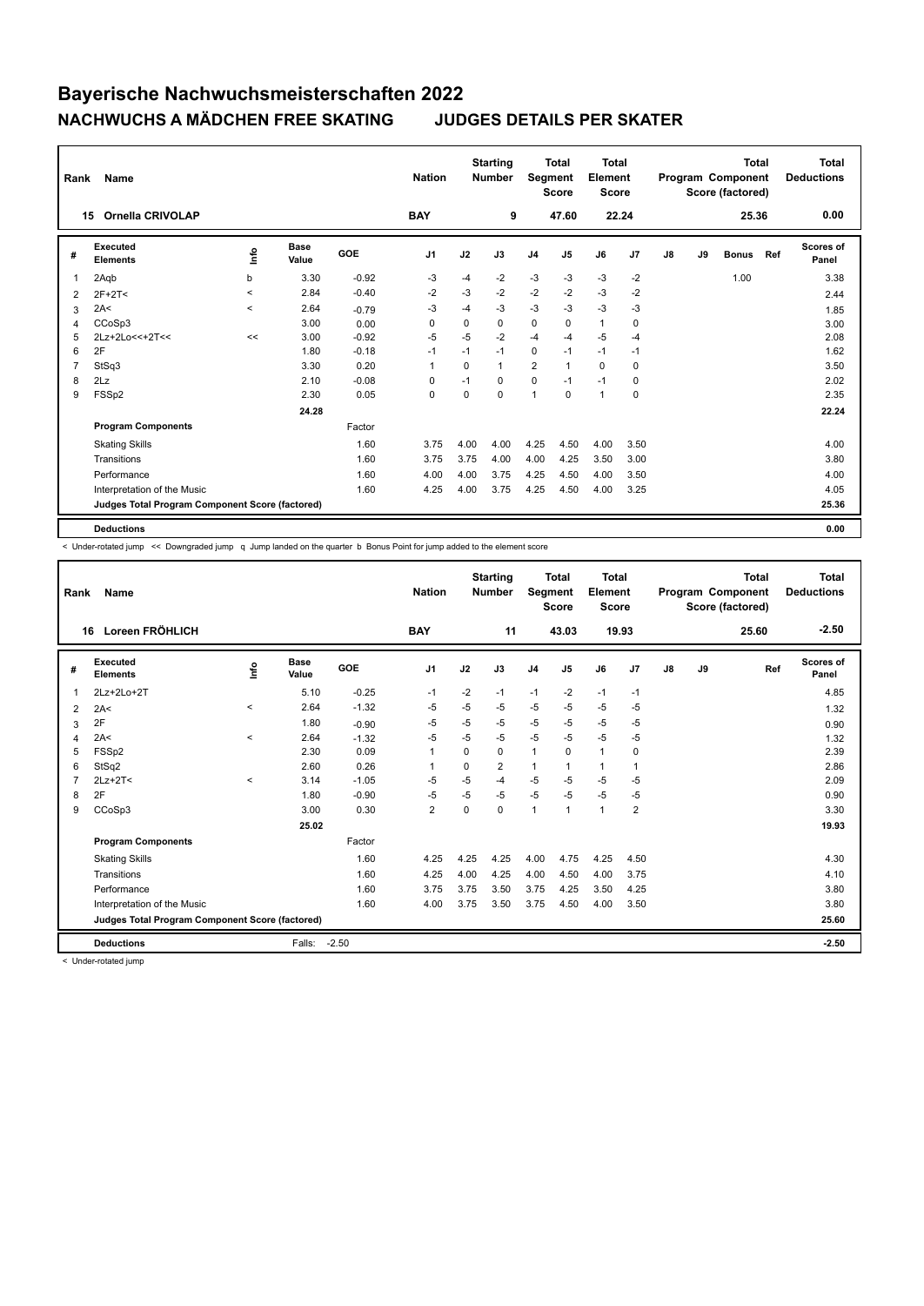| Rank           | Name                                            |            |                      |         |                | <b>Starting</b><br><b>Nation</b><br><b>Number</b> |              |                | <b>Total</b><br>Segment<br><b>Score</b> | <b>Total</b><br>Element<br>Score<br>22.24 |       |    | Program Component<br>Score (factored) | <b>Total</b> | <b>Total</b><br><b>Deductions</b> |                           |
|----------------|-------------------------------------------------|------------|----------------------|---------|----------------|---------------------------------------------------|--------------|----------------|-----------------------------------------|-------------------------------------------|-------|----|---------------------------------------|--------------|-----------------------------------|---------------------------|
|                | <b>Ornella CRIVOLAP</b><br>15                   | <b>BAY</b> |                      | 9       |                | 47.60                                             |              |                |                                         |                                           | 25.36 |    | 0.00                                  |              |                                   |                           |
| #              | Executed<br><b>Elements</b>                     | lnfo       | <b>Base</b><br>Value | GOE     | J <sub>1</sub> | J2                                                | J3           | J <sub>4</sub> | J <sub>5</sub>                          | J6                                        | J7    | J8 | J9                                    | <b>Bonus</b> | Ref                               | <b>Scores of</b><br>Panel |
| 1              | 2Aqb                                            | b          | 3.30                 | $-0.92$ | -3             | $-4$                                              | $-2$         | $-3$           | $-3$                                    | $-3$                                      | $-2$  |    |                                       | 1.00         |                                   | 3.38                      |
| 2              | $2F+2T2$                                        | $\prec$    | 2.84                 | $-0.40$ | $-2$           | $-3$                                              | $-2$         | $-2$           | $-2$                                    | $-3$                                      | $-2$  |    |                                       |              |                                   | 2.44                      |
| 3              | 2A<                                             | $\prec$    | 2.64                 | $-0.79$ | -3             | -4                                                | $-3$         | $-3$           | $-3$                                    | $-3$                                      | -3    |    |                                       |              |                                   | 1.85                      |
| 4              | CCoSp3                                          |            | 3.00                 | 0.00    | 0              | 0                                                 | 0            | 0              | 0                                       | $\mathbf{1}$                              | 0     |    |                                       |              |                                   | 3.00                      |
| 5              | 2Lz+2Lo<<+2T<<                                  | <<         | 3.00                 | $-0.92$ | $-5$           | $-5$                                              | $-2$         | $-4$           | $-4$                                    | $-5$                                      | $-4$  |    |                                       |              |                                   | 2.08                      |
| 6              | 2F                                              |            | 1.80                 | $-0.18$ | $-1$           | $-1$                                              | $-1$         | 0              | $-1$                                    | $-1$                                      | $-1$  |    |                                       |              |                                   | 1.62                      |
| $\overline{7}$ | StSq3                                           |            | 3.30                 | 0.20    | $\overline{1}$ | 0                                                 | $\mathbf{1}$ | $\overline{2}$ | $\mathbf{1}$                            | $\Omega$                                  | 0     |    |                                       |              |                                   | 3.50                      |
| 8              | 2Lz                                             |            | 2.10                 | $-0.08$ | 0              | $-1$                                              | $\Omega$     | $\mathbf 0$    | $-1$                                    | $-1$                                      | 0     |    |                                       |              |                                   | 2.02                      |
| 9              | FSSp2                                           |            | 2.30                 | 0.05    | 0              | 0                                                 | $\Omega$     | 1              | $\Omega$                                | $\mathbf{1}$                              | 0     |    |                                       |              |                                   | 2.35                      |
|                |                                                 |            | 24.28                |         |                |                                                   |              |                |                                         |                                           |       |    |                                       |              |                                   | 22.24                     |
|                | <b>Program Components</b>                       |            |                      | Factor  |                |                                                   |              |                |                                         |                                           |       |    |                                       |              |                                   |                           |
|                | <b>Skating Skills</b>                           |            |                      | 1.60    | 3.75           | 4.00                                              | 4.00         | 4.25           | 4.50                                    | 4.00                                      | 3.50  |    |                                       |              |                                   | 4.00                      |
|                | Transitions                                     |            |                      | 1.60    | 3.75           | 3.75                                              | 4.00         | 4.00           | 4.25                                    | 3.50                                      | 3.00  |    |                                       |              |                                   | 3.80                      |
|                | Performance                                     |            |                      | 1.60    | 4.00           | 4.00                                              | 3.75         | 4.25           | 4.50                                    | 4.00                                      | 3.50  |    |                                       |              |                                   | 4.00                      |
|                | Interpretation of the Music                     |            |                      | 1.60    | 4.25           | 4.00                                              | 3.75         | 4.25           | 4.50                                    | 4.00                                      | 3.25  |    |                                       |              |                                   | 4.05                      |
|                | Judges Total Program Component Score (factored) |            |                      |         |                |                                                   |              |                |                                         |                                           |       |    |                                       |              |                                   | 25.36                     |
|                | <b>Deductions</b>                               |            |                      |         |                |                                                   |              |                |                                         |                                           |       |    |                                       |              |                                   | 0.00                      |

< Under-rotated jump << Downgraded jump q Jump landed on the quarter b Bonus Point for jump added to the element score

| Rank           | Name                                            |         |                      |            | <b>Nation</b>  |          | <b>Starting</b><br><b>Number</b> | Segment        | Total<br><b>Score</b> | <b>Total</b><br>Element<br><b>Score</b> |                |    |    | <b>Total</b><br>Program Component<br>Score (factored) | Total<br><b>Deductions</b> |
|----------------|-------------------------------------------------|---------|----------------------|------------|----------------|----------|----------------------------------|----------------|-----------------------|-----------------------------------------|----------------|----|----|-------------------------------------------------------|----------------------------|
|                | Loreen FRÖHLICH<br>16                           |         |                      |            | <b>BAY</b>     |          | 11                               |                | 43.03                 |                                         | 19.93          |    |    | 25.60                                                 | $-2.50$                    |
| #              | Executed<br><b>Elements</b>                     | lnfo    | <b>Base</b><br>Value | <b>GOE</b> | J <sub>1</sub> | J2       | J3                               | J <sub>4</sub> | J <sub>5</sub>        | J6                                      | J <sub>7</sub> | J8 | J9 | Ref                                                   | Scores of<br>Panel         |
| 1              | 2Lz+2Lo+2T                                      |         | 5.10                 | $-0.25$    | $-1$           | $-2$     | $-1$                             | $-1$           | $-2$                  | $-1$                                    | $-1$           |    |    |                                                       | 4.85                       |
| 2              | 2A<                                             | $\prec$ | 2.64                 | $-1.32$    | -5             | -5       | $-5$                             | $-5$           | $-5$                  | $-5$                                    | -5             |    |    |                                                       | 1.32                       |
| 3              | 2F                                              |         | 1.80                 | $-0.90$    | $-5$           | $-5$     | $-5$                             | $-5$           | $-5$                  | $-5$                                    | -5             |    |    |                                                       | 0.90                       |
| 4              | 2A<                                             | $\prec$ | 2.64                 | $-1.32$    | $-5$           | $-5$     | $-5$                             | $-5$           | $-5$                  | $-5$                                    | -5             |    |    |                                                       | 1.32                       |
| 5              | FSSp2                                           |         | 2.30                 | 0.09       | $\overline{1}$ | $\Omega$ | 0                                | $\mathbf{1}$   | $\Omega$              | $\mathbf{1}$                            | 0              |    |    |                                                       | 2.39                       |
| 6              | StSq2                                           |         | 2.60                 | 0.26       | $\overline{1}$ | $\Omega$ | $\overline{2}$                   | $\mathbf{1}$   | $\mathbf{1}$          | $\mathbf{1}$                            | $\overline{1}$ |    |    |                                                       | 2.86                       |
| $\overline{7}$ | $2Lz+2T<$                                       | $\prec$ | 3.14                 | $-1.05$    | $-5$           | $-5$     | $-4$                             | $-5$           | $-5$                  | $-5$                                    | $-5$           |    |    |                                                       | 2.09                       |
| 8              | 2F                                              |         | 1.80                 | $-0.90$    | $-5$           | $-5$     | $-5$                             | $-5$           | $-5$                  | $-5$                                    | -5             |    |    |                                                       | 0.90                       |
| 9              | CCoSp3                                          |         | 3.00                 | 0.30       | $\overline{2}$ | $\Omega$ | $\Omega$                         | $\mathbf{1}$   | $\mathbf{1}$          | $\mathbf{1}$                            | $\overline{2}$ |    |    |                                                       | 3.30                       |
|                |                                                 |         | 25.02                |            |                |          |                                  |                |                       |                                         |                |    |    |                                                       | 19.93                      |
|                | <b>Program Components</b>                       |         |                      | Factor     |                |          |                                  |                |                       |                                         |                |    |    |                                                       |                            |
|                | <b>Skating Skills</b>                           |         |                      | 1.60       | 4.25           | 4.25     | 4.25                             | 4.00           | 4.75                  | 4.25                                    | 4.50           |    |    |                                                       | 4.30                       |
|                | Transitions                                     |         |                      | 1.60       | 4.25           | 4.00     | 4.25                             | 4.00           | 4.50                  | 4.00                                    | 3.75           |    |    |                                                       | 4.10                       |
|                | Performance                                     |         |                      | 1.60       | 3.75           | 3.75     | 3.50                             | 3.75           | 4.25                  | 3.50                                    | 4.25           |    |    |                                                       | 3.80                       |
|                | Interpretation of the Music                     |         |                      | 1.60       | 4.00           | 3.75     | 3.50                             | 3.75           | 4.50                  | 4.00                                    | 3.50           |    |    |                                                       | 3.80                       |
|                | Judges Total Program Component Score (factored) |         |                      |            |                |          |                                  |                |                       |                                         |                |    |    |                                                       | 25.60                      |
|                | <b>Deductions</b>                               |         | Falls:               | $-2.50$    |                |          |                                  |                |                       |                                         |                |    |    |                                                       | $-2.50$                    |

< Under-rotated jump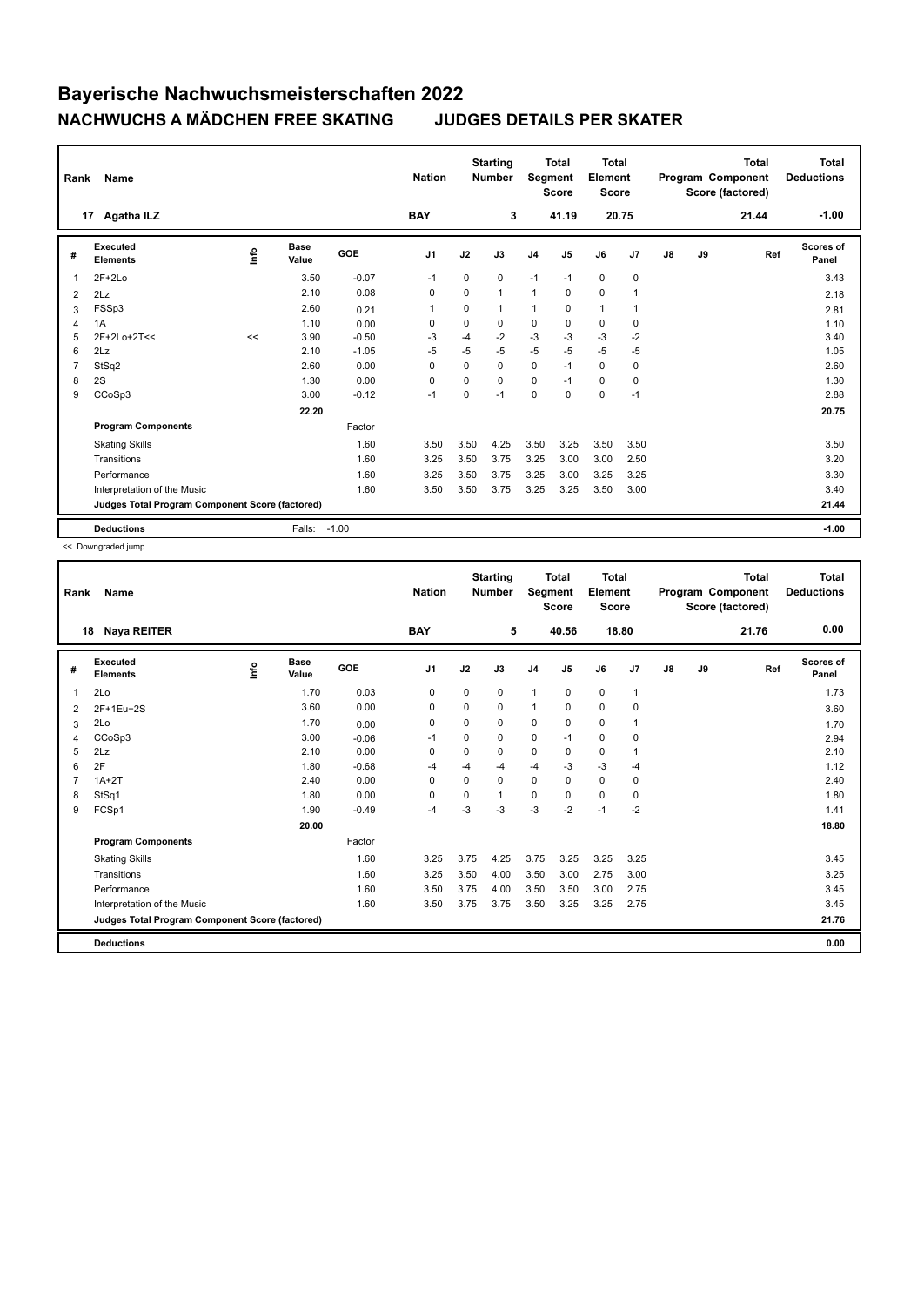| Rank           | Name                                            |             |               |         | <b>Nation</b>  |             | <b>Starting</b><br><b>Number</b> | Segment        | <b>Total</b><br><b>Score</b> | <b>Total</b><br>Element<br><b>Score</b> |                |               |    | <b>Total</b><br>Program Component<br>Score (factored) | Total<br><b>Deductions</b> |
|----------------|-------------------------------------------------|-------------|---------------|---------|----------------|-------------|----------------------------------|----------------|------------------------------|-----------------------------------------|----------------|---------------|----|-------------------------------------------------------|----------------------------|
|                | <b>Agatha ILZ</b><br>17                         |             |               |         | <b>BAY</b>     |             | 3                                |                | 41.19                        | 20.75                                   |                |               |    | 21.44                                                 | $-1.00$                    |
| #              | Executed<br><b>Elements</b>                     | <u>lnfo</u> | Base<br>Value | GOE     | J <sub>1</sub> | J2          | J3                               | J <sub>4</sub> | J <sub>5</sub>               | J6                                      | J7             | $\mathsf{J}8$ | J9 | Ref                                                   | <b>Scores of</b><br>Panel  |
| 1              | $2F+2Lo$                                        |             | 3.50          | $-0.07$ | $-1$           | $\mathbf 0$ | 0                                | $-1$           | $-1$                         | $\mathbf 0$                             | $\mathbf 0$    |               |    |                                                       | 3.43                       |
| 2              | 2Lz                                             |             | 2.10          | 0.08    | 0              | $\Omega$    | $\mathbf{1}$                     | $\mathbf{1}$   | $\mathbf 0$                  | $\mathbf 0$                             | 1              |               |    |                                                       | 2.18                       |
| 3              | FSSp3                                           |             | 2.60          | 0.21    | $\overline{1}$ | $\Omega$    | 1                                | $\mathbf{1}$   | $\Omega$                     | $\mathbf{1}$                            | $\overline{1}$ |               |    |                                                       | 2.81                       |
| $\overline{4}$ | 1A                                              |             | 1.10          | 0.00    | $\mathbf 0$    | 0           | 0                                | $\pmb{0}$      | $\mathbf 0$                  | $\mathbf 0$                             | $\mathbf 0$    |               |    |                                                       | 1.10                       |
| 5              | 2F+2Lo+2T<<                                     | <<          | 3.90          | $-0.50$ | -3             | $-4$        | $-2$                             | $-3$           | $-3$                         | $-3$                                    | $-2$           |               |    |                                                       | 3.40                       |
| 6              | 2Lz                                             |             | 2.10          | $-1.05$ | $-5$           | $-5$        | $-5$                             | $-5$           | $-5$                         | $-5$                                    | $-5$           |               |    |                                                       | 1.05                       |
| 7              | StSq2                                           |             | 2.60          | 0.00    | 0              | $\Omega$    | 0                                | $\mathbf 0$    | $-1$                         | 0                                       | $\mathbf 0$    |               |    |                                                       | 2.60                       |
| 8              | 2S                                              |             | 1.30          | 0.00    | $\mathbf 0$    | $\Omega$    | $\Omega$                         | $\mathbf 0$    | $-1$                         | $\mathbf 0$                             | $\mathbf 0$    |               |    |                                                       | 1.30                       |
| 9              | CCoSp3                                          |             | 3.00          | $-0.12$ | $-1$           | 0           | $-1$                             | $\mathbf 0$    | $\mathbf 0$                  | $\mathbf 0$                             | $-1$           |               |    |                                                       | 2.88                       |
|                |                                                 |             | 22.20         |         |                |             |                                  |                |                              |                                         |                |               |    |                                                       | 20.75                      |
|                | <b>Program Components</b>                       |             |               | Factor  |                |             |                                  |                |                              |                                         |                |               |    |                                                       |                            |
|                | <b>Skating Skills</b>                           |             |               | 1.60    | 3.50           | 3.50        | 4.25                             | 3.50           | 3.25                         | 3.50                                    | 3.50           |               |    |                                                       | 3.50                       |
|                | Transitions                                     |             |               | 1.60    | 3.25           | 3.50        | 3.75                             | 3.25           | 3.00                         | 3.00                                    | 2.50           |               |    |                                                       | 3.20                       |
|                | Performance                                     |             |               | 1.60    | 3.25           | 3.50        | 3.75                             | 3.25           | 3.00                         | 3.25                                    | 3.25           |               |    |                                                       | 3.30                       |
|                | Interpretation of the Music                     |             |               | 1.60    | 3.50           | 3.50        | 3.75                             | 3.25           | 3.25                         | 3.50                                    | 3.00           |               |    |                                                       | 3.40                       |
|                | Judges Total Program Component Score (factored) |             |               |         |                |             |                                  |                |                              |                                         |                |               |    |                                                       | 21.44                      |
|                | <b>Deductions</b>                               |             | Falls:        | $-1.00$ |                |             |                                  |                |                              |                                         |                |               |    |                                                       | $-1.00$                    |

<< Downgraded jump

| Rank | Name                                            |      |               |            | <b>Nation</b> |          | <b>Starting</b><br><b>Number</b> |                | <b>Total</b><br>Segment<br><b>Score</b> | <b>Total</b><br>Element<br>Score |              |    |    | <b>Total</b><br>Program Component<br>Score (factored) | <b>Total</b><br><b>Deductions</b> |
|------|-------------------------------------------------|------|---------------|------------|---------------|----------|----------------------------------|----------------|-----------------------------------------|----------------------------------|--------------|----|----|-------------------------------------------------------|-----------------------------------|
|      | <b>Naya REITER</b><br>18                        |      |               |            | <b>BAY</b>    |          | 5                                |                | 40.56                                   |                                  | 18.80        |    |    | 21.76                                                 | 0.00                              |
| #    | Executed<br><b>Elements</b>                     | lnfo | Base<br>Value | <b>GOE</b> | J1            | J2       | J3                               | J <sub>4</sub> | J <sub>5</sub>                          | J6                               | J7           | J8 | J9 | Ref                                                   | Scores of<br>Panel                |
| 1    | 2Lo                                             |      | 1.70          | 0.03       | 0             | 0        | 0                                | 1              | $\mathbf 0$                             | $\mathbf 0$                      | $\mathbf{1}$ |    |    |                                                       | 1.73                              |
| 2    | 2F+1Eu+2S                                       |      | 3.60          | 0.00       | 0             | $\Omega$ | $\Omega$                         | 1              | $\Omega$                                | $\mathbf 0$                      | 0            |    |    |                                                       | 3.60                              |
| 3    | 2Lo                                             |      | 1.70          | 0.00       | 0             | 0        | 0                                | 0              | 0                                       | 0                                | 1            |    |    |                                                       | 1.70                              |
| 4    | CCoSp3                                          |      | 3.00          | $-0.06$    | -1            | 0        | $\Omega$                         | 0              | $-1$                                    | $\Omega$                         | 0            |    |    |                                                       | 2.94                              |
| 5    | 2Lz                                             |      | 2.10          | 0.00       | 0             | 0        | $\mathbf 0$                      | 0              | $\mathbf 0$                             | $\mathbf 0$                      | $\mathbf{1}$ |    |    |                                                       | 2.10                              |
| 6    | 2F                                              |      | 1.80          | $-0.68$    | -4            | $-4$     | -4                               | $-4$           | $-3$                                    | $-3$                             | $-4$         |    |    |                                                       | 1.12                              |
| 7    | $1A+2T$                                         |      | 2.40          | 0.00       | $\Omega$      | 0        | $\Omega$                         | 0              | $\Omega$                                | $\mathbf 0$                      | 0            |    |    |                                                       | 2.40                              |
| 8    | StSq1                                           |      | 1.80          | 0.00       | 0             | 0        | 1                                | $\mathbf 0$    | $\Omega$                                | $\Omega$                         | 0            |    |    |                                                       | 1.80                              |
| 9    | FCSp1                                           |      | 1.90          | $-0.49$    | -4            | $-3$     | -3                               | $-3$           | $-2$                                    | $-1$                             | $-2$         |    |    |                                                       | 1.41                              |
|      |                                                 |      | 20.00         |            |               |          |                                  |                |                                         |                                  |              |    |    |                                                       | 18.80                             |
|      | <b>Program Components</b>                       |      |               | Factor     |               |          |                                  |                |                                         |                                  |              |    |    |                                                       |                                   |
|      | <b>Skating Skills</b>                           |      |               | 1.60       | 3.25          | 3.75     | 4.25                             | 3.75           | 3.25                                    | 3.25                             | 3.25         |    |    |                                                       | 3.45                              |
|      | Transitions                                     |      |               | 1.60       | 3.25          | 3.50     | 4.00                             | 3.50           | 3.00                                    | 2.75                             | 3.00         |    |    |                                                       | 3.25                              |
|      | Performance                                     |      |               | 1.60       | 3.50          | 3.75     | 4.00                             | 3.50           | 3.50                                    | 3.00                             | 2.75         |    |    |                                                       | 3.45                              |
|      | Interpretation of the Music                     |      |               | 1.60       | 3.50          | 3.75     | 3.75                             | 3.50           | 3.25                                    | 3.25                             | 2.75         |    |    |                                                       | 3.45                              |
|      | Judges Total Program Component Score (factored) |      |               |            |               |          |                                  |                |                                         |                                  |              |    |    |                                                       | 21.76                             |
|      | <b>Deductions</b>                               |      |               |            |               |          |                                  |                |                                         |                                  |              |    |    |                                                       | 0.00                              |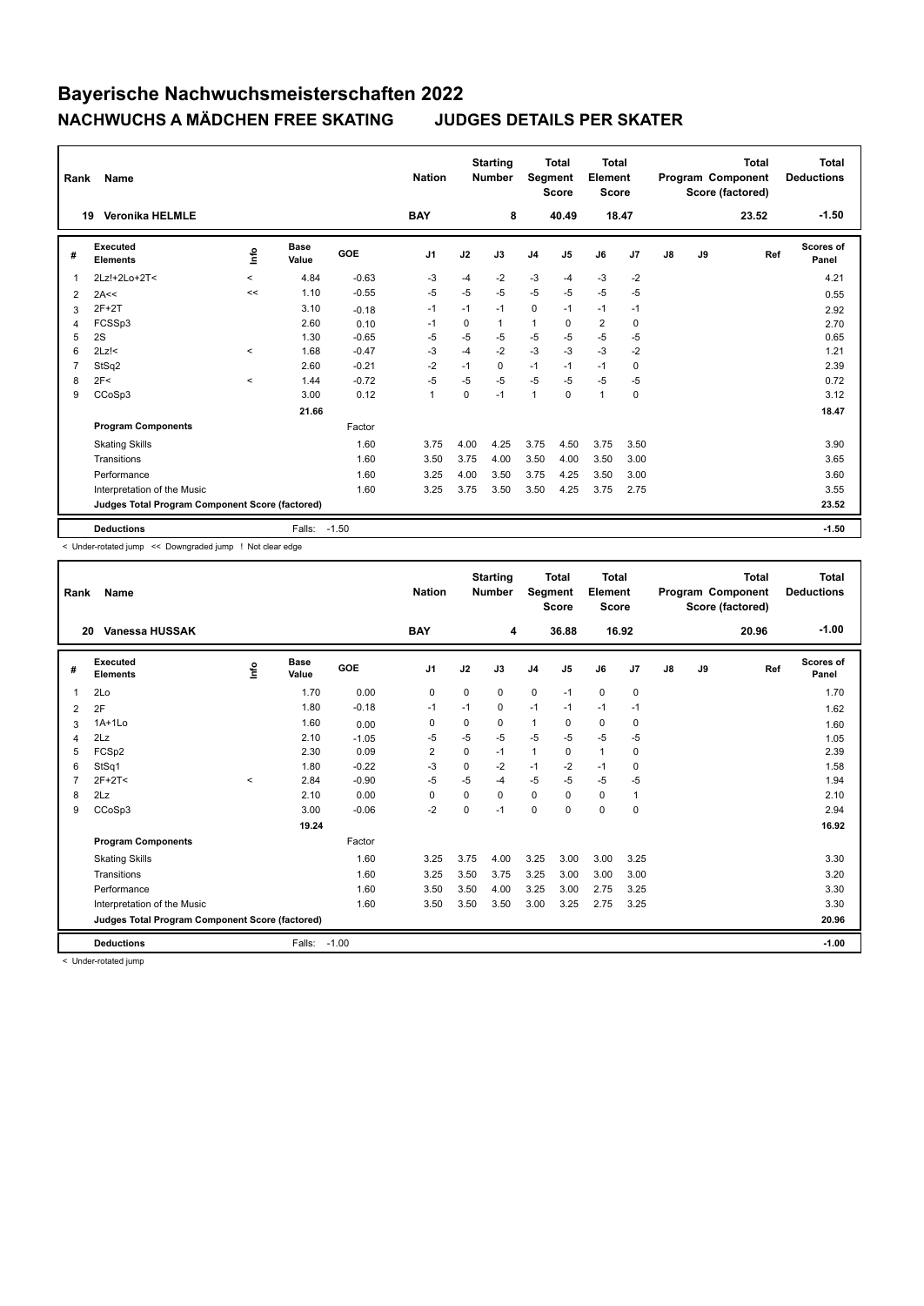| Rank | Name                                            |         |                      |         | <b>Nation</b>  |      | <b>Starting</b><br><b>Number</b> | Segment        | Total<br><b>Score</b> | <b>Total</b><br>Element<br><b>Score</b> |             |    |    | <b>Total</b><br>Program Component<br>Score (factored) | Total<br><b>Deductions</b> |
|------|-------------------------------------------------|---------|----------------------|---------|----------------|------|----------------------------------|----------------|-----------------------|-----------------------------------------|-------------|----|----|-------------------------------------------------------|----------------------------|
|      | <b>Veronika HELMLE</b><br>19                    |         |                      |         | <b>BAY</b>     |      | 8                                |                | 40.49                 | 18.47                                   |             |    |    | 23.52                                                 | $-1.50$                    |
| #    | Executed<br><b>Elements</b>                     | lnfo    | <b>Base</b><br>Value | GOE     | J <sub>1</sub> | J2   | J3                               | J <sub>4</sub> | J <sub>5</sub>        | J6                                      | J7          | J8 | J9 | Ref                                                   | Scores of<br>Panel         |
| 1    | 2Lz!+2Lo+2T<                                    | $\prec$ | 4.84                 | $-0.63$ | -3             | $-4$ | $-2$                             | $-3$           | $-4$                  | $-3$                                    | $-2$        |    |    |                                                       | 4.21                       |
| 2    | 2A<<                                            | <<      | 1.10                 | $-0.55$ | $-5$           | $-5$ | $-5$                             | $-5$           | $-5$                  | $-5$                                    | $-5$        |    |    |                                                       | 0.55                       |
| 3    | $2F+2T$                                         |         | 3.10                 | $-0.18$ | $-1$           | $-1$ | $-1$                             | $\mathbf 0$    | $-1$                  | $-1$                                    | $-1$        |    |    |                                                       | 2.92                       |
| 4    | FCSSp3                                          |         | 2.60                 | 0.10    | $-1$           | 0    | 1                                | $\mathbf{1}$   | 0                     | $\overline{2}$                          | $\mathbf 0$ |    |    |                                                       | 2.70                       |
| 5    | 2S                                              |         | 1.30                 | $-0.65$ | -5             | $-5$ | -5                               | $-5$           | $-5$                  | $-5$                                    | $-5$        |    |    |                                                       | 0.65                       |
| 6    | $2Lz$ !<                                        | $\prec$ | 1.68                 | $-0.47$ | $-3$           | $-4$ | $-2$                             | $-3$           | $-3$                  | $-3$                                    | $-2$        |    |    |                                                       | 1.21                       |
| 7    | StSq2                                           |         | 2.60                 | $-0.21$ | $-2$           | $-1$ | 0                                | $-1$           | $-1$                  | $-1$                                    | $\mathbf 0$ |    |    |                                                       | 2.39                       |
| 8    | 2F<                                             | $\prec$ | 1.44                 | $-0.72$ | $-5$           | $-5$ | $-5$                             | $-5$           | $-5$                  | $-5$                                    | $-5$        |    |    |                                                       | 0.72                       |
| 9    | CCoSp3                                          |         | 3.00                 | 0.12    | $\mathbf 1$    | 0    | $-1$                             | 1              | 0                     | $\mathbf{1}$                            | $\mathbf 0$ |    |    |                                                       | 3.12                       |
|      |                                                 |         | 21.66                |         |                |      |                                  |                |                       |                                         |             |    |    |                                                       | 18.47                      |
|      | <b>Program Components</b>                       |         |                      | Factor  |                |      |                                  |                |                       |                                         |             |    |    |                                                       |                            |
|      | <b>Skating Skills</b>                           |         |                      | 1.60    | 3.75           | 4.00 | 4.25                             | 3.75           | 4.50                  | 3.75                                    | 3.50        |    |    |                                                       | 3.90                       |
|      | Transitions                                     |         |                      | 1.60    | 3.50           | 3.75 | 4.00                             | 3.50           | 4.00                  | 3.50                                    | 3.00        |    |    |                                                       | 3.65                       |
|      | Performance                                     |         |                      | 1.60    | 3.25           | 4.00 | 3.50                             | 3.75           | 4.25                  | 3.50                                    | 3.00        |    |    |                                                       | 3.60                       |
|      | Interpretation of the Music                     |         |                      | 1.60    | 3.25           | 3.75 | 3.50                             | 3.50           | 4.25                  | 3.75                                    | 2.75        |    |    |                                                       | 3.55                       |
|      | Judges Total Program Component Score (factored) |         |                      |         |                |      |                                  |                |                       |                                         |             |    |    |                                                       | 23.52                      |
|      | <b>Deductions</b>                               |         | Falls:               | $-1.50$ |                |      |                                  |                |                       |                                         |             |    |    |                                                       | $-1.50$                    |

< Under-rotated jump << Downgraded jump ! Not clear edge

| Rank           | <b>Name</b>                                     |         |                      |         | <b>Nation</b>  |             | <b>Starting</b><br><b>Number</b> | Segment      | <b>Total</b><br><b>Score</b> | <b>Total</b><br>Element<br><b>Score</b> |              |               |    | <b>Total</b><br>Program Component<br>Score (factored) | <b>Total</b><br><b>Deductions</b> |
|----------------|-------------------------------------------------|---------|----------------------|---------|----------------|-------------|----------------------------------|--------------|------------------------------|-----------------------------------------|--------------|---------------|----|-------------------------------------------------------|-----------------------------------|
| 20             | Vanessa HUSSAK                                  |         |                      |         | <b>BAY</b>     |             | 4                                |              | 36.88                        |                                         | 16.92        |               |    | 20.96                                                 | $-1.00$                           |
| #              | <b>Executed</b><br><b>Elements</b>              | lnfo    | <b>Base</b><br>Value | GOE     | J <sub>1</sub> | J2          | J3                               | J4           | J5                           | J6                                      | J7           | $\mathsf{J}8$ | J9 | Ref                                                   | <b>Scores of</b><br>Panel         |
| $\overline{1}$ | 2Lo                                             |         | 1.70                 | 0.00    | 0              | 0           | 0                                | $\mathbf 0$  | $-1$                         | $\mathbf 0$                             | 0            |               |    |                                                       | 1.70                              |
| 2              | 2F                                              |         | 1.80                 | $-0.18$ | $-1$           | $-1$        | 0                                | $-1$         | $-1$                         | $-1$                                    | $-1$         |               |    |                                                       | 1.62                              |
| 3              | $1A+1L0$                                        |         | 1.60                 | 0.00    | 0              | 0           | 0                                | $\mathbf{1}$ | 0                            | 0                                       | 0            |               |    |                                                       | 1.60                              |
| 4              | 2Lz                                             |         | 2.10                 | $-1.05$ | -5             | $-5$        | $-5$                             | $-5$         | $-5$                         | $-5$                                    | $-5$         |               |    |                                                       | 1.05                              |
| 5              | FCSp2                                           |         | 2.30                 | 0.09    | $\overline{2}$ | $\mathbf 0$ | $-1$                             | $\mathbf{1}$ | $\mathbf 0$                  | $\mathbf{1}$                            | $\mathbf 0$  |               |    |                                                       | 2.39                              |
| 6              | StSq1                                           |         | 1.80                 | $-0.22$ | $-3$           | $\Omega$    | $-2$                             | $-1$         | $-2$                         | $-1$                                    | 0            |               |    |                                                       | 1.58                              |
| 7              | $2F+2T<$                                        | $\prec$ | 2.84                 | $-0.90$ | $-5$           | $-5$        | $-4$                             | $-5$         | $-5$                         | $-5$                                    | -5           |               |    |                                                       | 1.94                              |
| 8              | 2Lz                                             |         | 2.10                 | 0.00    | $\Omega$       | $\Omega$    | $\Omega$                         | $\mathbf 0$  | $\Omega$                     | $\Omega$                                | $\mathbf{1}$ |               |    |                                                       | 2.10                              |
| 9              | CCoSp3                                          |         | 3.00                 | $-0.06$ | $-2$           | 0           | $-1$                             | 0            | $\Omega$                     | 0                                       | 0            |               |    |                                                       | 2.94                              |
|                |                                                 |         | 19.24                |         |                |             |                                  |              |                              |                                         |              |               |    |                                                       | 16.92                             |
|                | <b>Program Components</b>                       |         |                      | Factor  |                |             |                                  |              |                              |                                         |              |               |    |                                                       |                                   |
|                | <b>Skating Skills</b>                           |         |                      | 1.60    | 3.25           | 3.75        | 4.00                             | 3.25         | 3.00                         | 3.00                                    | 3.25         |               |    |                                                       | 3.30                              |
|                | Transitions                                     |         |                      | 1.60    | 3.25           | 3.50        | 3.75                             | 3.25         | 3.00                         | 3.00                                    | 3.00         |               |    |                                                       | 3.20                              |
|                | Performance                                     |         |                      | 1.60    | 3.50           | 3.50        | 4.00                             | 3.25         | 3.00                         | 2.75                                    | 3.25         |               |    |                                                       | 3.30                              |
|                | Interpretation of the Music                     |         |                      | 1.60    | 3.50           | 3.50        | 3.50                             | 3.00         | 3.25                         | 2.75                                    | 3.25         |               |    |                                                       | 3.30                              |
|                | Judges Total Program Component Score (factored) |         |                      |         |                |             |                                  |              |                              |                                         |              |               |    |                                                       | 20.96                             |
|                | <b>Deductions</b>                               |         | Falls:               | $-1.00$ |                |             |                                  |              |                              |                                         |              |               |    |                                                       | $-1.00$                           |

< Under-rotated jump